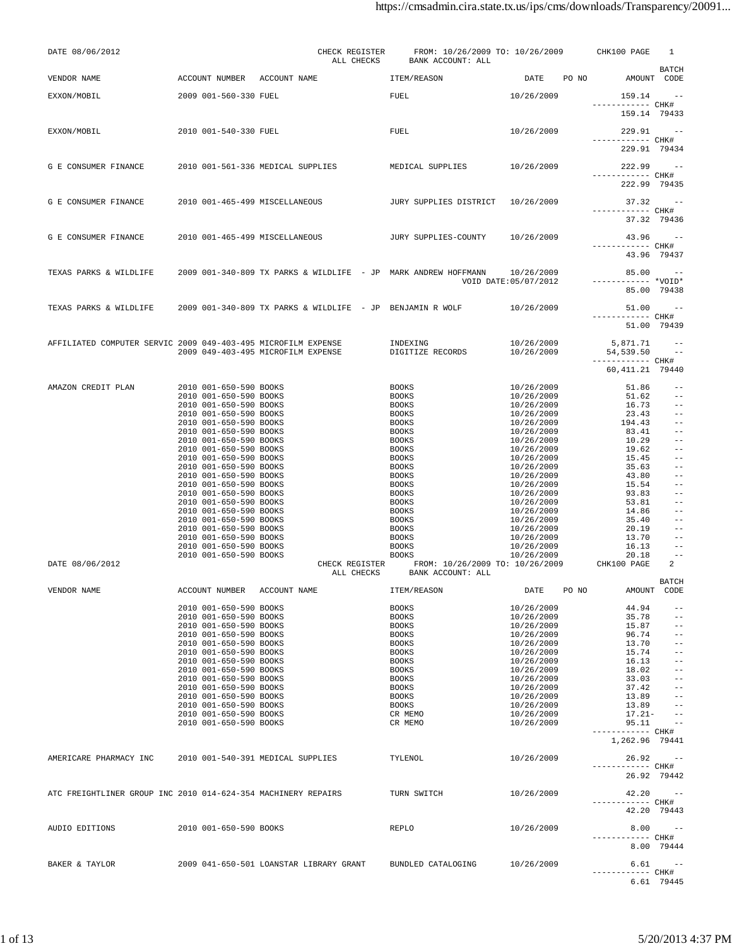| DATE 08/06/2012                                               |                                                  | CHECK REGISTER<br>ALL CHECKS                                   | FROM: 10/26/2009 TO: 10/26/2009<br>BANK ACCOUNT: ALL |                          | CHK100 PAGE                       | 1                                      |
|---------------------------------------------------------------|--------------------------------------------------|----------------------------------------------------------------|------------------------------------------------------|--------------------------|-----------------------------------|----------------------------------------|
| VENDOR NAME                                                   | ACCOUNT NUMBER                                   | ACCOUNT NAME                                                   | ITEM/REASON                                          | DATE PO NO               | AMOUNT CODE                       | BATCH                                  |
| EXXON/MOBIL                                                   | 2009 001-560-330 FUEL                            |                                                                | FUEL                                                 | 10/26/2009               | 159.14                            |                                        |
|                                                               |                                                  |                                                                |                                                      |                          | ------------ CHK#<br>159.14 79433 |                                        |
| EXXON/MOBIL                                                   | 2010 001-540-330 FUEL                            |                                                                | FUEL                                                 | 10/26/2009               | 229.91                            | $\sim$ $-$                             |
|                                                               |                                                  |                                                                |                                                      |                          | ----------- CHK#<br>229.91 79434  |                                        |
| G E CONSUMER FINANCE                                          |                                                  | 2010 001-561-336 MEDICAL SUPPLIES                              | MEDICAL SUPPLIES                                     | 10/26/2009               | 222.99                            | $\sim$ $-$                             |
|                                                               |                                                  |                                                                |                                                      |                          | ------------ CHK#<br>222.99 79435 |                                        |
|                                                               |                                                  |                                                                |                                                      |                          |                                   |                                        |
| G E CONSUMER FINANCE                                          | 2010 001-465-499 MISCELLANEOUS                   |                                                                | JURY SUPPLIES DISTRICT 10/26/2009                    |                          | 37.32 --<br>------------ CHK#     |                                        |
|                                                               |                                                  |                                                                |                                                      |                          | 37.32 79436                       |                                        |
| G E CONSUMER FINANCE                                          | 2010 001-465-499 MISCELLANEOUS                   |                                                                | JURY SUPPLIES-COUNTY                                 | 10/26/2009               | $43.96 -$<br>------------ CHK#    |                                        |
|                                                               |                                                  |                                                                |                                                      |                          | 43.96 79437                       |                                        |
| TEXAS PARKS & WILDLIFE                                        |                                                  | 2009 001-340-809 TX PARKS & WILDLIFE - JP MARK ANDREW HOFFMANN |                                                      | 10/26/2009               | $85.00 - -$                       |                                        |
|                                                               |                                                  |                                                                |                                                      | VOID DATE: 05/07/2012    | $---------*VOLD*$<br>85.00 79438  |                                        |
|                                                               |                                                  |                                                                |                                                      |                          | $51.00 - -$                       |                                        |
| TEXAS PARKS & WILDLIFE                                        |                                                  | 2009 001-340-809 TX PARKS & WILDLIFE - JP BENJAMIN R WOLF      |                                                      | 10/26/2009               | ------------ CHK#                 |                                        |
|                                                               |                                                  |                                                                |                                                      |                          | 51.00 79439                       |                                        |
| AFFILIATED COMPUTER SERVIC 2009 049-403-495 MICROFILM EXPENSE |                                                  |                                                                | INDEXING                                             | 10/26/2009               | 5,871.71                          |                                        |
|                                                               |                                                  | 2009 049-403-495 MICROFILM EXPENSE                             | DIGITIZE RECORDS                                     | 10/26/2009               | 54,539.50<br>------------ CHK#    |                                        |
|                                                               |                                                  |                                                                |                                                      |                          | 60, 411.21 79440                  |                                        |
| AMAZON CREDIT PLAN                                            | 2010 001-650-590 BOOKS                           |                                                                | <b>BOOKS</b>                                         | 10/26/2009               | 51.86                             | $- -$                                  |
|                                                               | 2010 001-650-590 BOOKS<br>2010 001-650-590 BOOKS |                                                                | <b>BOOKS</b><br><b>BOOKS</b>                         | 10/26/2009<br>10/26/2009 | 51.62<br>16.73                    | $- -$<br>$- -$                         |
|                                                               | 2010 001-650-590 BOOKS                           |                                                                | <b>BOOKS</b>                                         | 10/26/2009               | 23.43                             | $- -$                                  |
|                                                               | 2010 001-650-590 BOOKS                           |                                                                | <b>BOOKS</b>                                         | 10/26/2009               | 194.43                            | $\qquad \qquad -$                      |
|                                                               | 2010 001-650-590 BOOKS<br>2010 001-650-590 BOOKS |                                                                | <b>BOOKS</b><br><b>BOOKS</b>                         | 10/26/2009<br>10/26/2009 | 83.41<br>10.29                    | $\qquad \qquad -$<br>$\qquad \qquad -$ |
|                                                               | 2010 001-650-590 BOOKS                           |                                                                | <b>BOOKS</b>                                         | 10/26/2009               | 19.62                             | $- -$                                  |
|                                                               | 2010 001-650-590 BOOKS                           |                                                                | <b>BOOKS</b>                                         | 10/26/2009               | 15.45                             | $- -$                                  |
|                                                               | 2010 001-650-590 BOOKS<br>2010 001-650-590 BOOKS |                                                                | <b>BOOKS</b>                                         | 10/26/2009               | 35.63                             | $ -$<br>$ -$                           |
|                                                               | 2010 001-650-590 BOOKS                           |                                                                | <b>BOOKS</b><br><b>BOOKS</b>                         | 10/26/2009<br>10/26/2009 | 43.80<br>15.54                    | $- -$                                  |
|                                                               | 2010 001-650-590 BOOKS                           |                                                                | <b>BOOKS</b>                                         | 10/26/2009               | 93.83                             | $- -$                                  |
|                                                               | 2010 001-650-590 BOOKS                           |                                                                | <b>BOOKS</b>                                         | 10/26/2009               | 53.81                             | $- -$                                  |
|                                                               | 2010 001-650-590 BOOKS<br>2010 001-650-590 BOOKS |                                                                | <b>BOOKS</b><br><b>BOOKS</b>                         | 10/26/2009<br>10/26/2009 | 14.86<br>35.40                    | $\qquad \qquad -$<br>$- -$             |
|                                                               | 2010 001-650-590 BOOKS                           |                                                                | <b>BOOKS</b>                                         | 10/26/2009               | 20.19                             | $- -$                                  |
|                                                               | 2010 001-650-590 BOOKS                           |                                                                | <b>BOOKS</b>                                         | 10/26/2009               | 13.70                             | $ -$                                   |
|                                                               | 2010 001-650-590 BOOKS<br>2010 001-650-590 BOOKS |                                                                | <b>BOOKS</b><br><b>BOOKS</b>                         | 10/26/2009<br>10/26/2009 | 16.13<br>20.18                    | $\equiv$ $\equiv$<br>$\equiv$ $\equiv$ |
| DATE 08/06/2012                                               |                                                  | CHECK REGISTER<br>ALL CHECKS                                   | FROM: 10/26/2009 TO: 10/26/2009<br>BANK ACCOUNT: ALL |                          | CHK100 PAGE                       | 2                                      |
| VENDOR NAME                                                   | ACCOUNT NUMBER ACCOUNT NAME                      |                                                                | ITEM/REASON                                          | DATE<br>PO NO            |                                   | BATCH<br>AMOUNT CODE                   |
|                                                               |                                                  |                                                                |                                                      |                          |                                   |                                        |
|                                                               | 2010 001-650-590 BOOKS<br>2010 001-650-590 BOOKS |                                                                | <b>BOOKS</b><br><b>BOOKS</b>                         | 10/26/2009<br>10/26/2009 | 44.94<br>35.78                    | $-$<br>$- -$                           |
|                                                               | 2010 001-650-590 BOOKS                           |                                                                | <b>BOOKS</b>                                         | 10/26/2009               | 15.87                             | $- -$                                  |
|                                                               | 2010 001-650-590 BOOKS                           |                                                                | <b>BOOKS</b>                                         | 10/26/2009               | 96.74                             | $-$                                    |
|                                                               | 2010 001-650-590 BOOKS<br>2010 001-650-590 BOOKS |                                                                | <b>BOOKS</b><br><b>BOOKS</b>                         | 10/26/2009<br>10/26/2009 | 13.70<br>15.74                    | $-$<br>$- -$                           |
|                                                               | 2010 001-650-590 BOOKS                           |                                                                | <b>BOOKS</b>                                         | 10/26/2009               | 16.13                             | $- -$                                  |
|                                                               | 2010 001-650-590 BOOKS                           |                                                                | <b>BOOKS</b>                                         | 10/26/2009               | 18.02                             | $\qquad \qquad -$                      |
|                                                               | 2010 001-650-590 BOOKS                           |                                                                | <b>BOOKS</b>                                         | 10/26/2009               | 33.03                             | $- -$                                  |
|                                                               | 2010 001-650-590 BOOKS<br>2010 001-650-590 BOOKS |                                                                | <b>BOOKS</b><br><b>BOOKS</b>                         | 10/26/2009<br>10/26/2009 | 37.42<br>13.89                    | $\sim$ $-$<br>$\sim$ $-$               |
|                                                               | 2010 001-650-590 BOOKS                           |                                                                | <b>BOOKS</b>                                         | 10/26/2009               | 13.89                             | $\qquad \qquad -$                      |
|                                                               | 2010 001-650-590 BOOKS                           |                                                                | CR MEMO                                              | 10/26/2009               | $17.21 -$                         | $ -$                                   |
|                                                               | 2010 001-650-590 BOOKS                           |                                                                | CR MEMO                                              | 10/26/2009               | 95.11<br>----------- CHK#         |                                        |
|                                                               |                                                  |                                                                |                                                      |                          | 1,262.96 79441                    |                                        |
| AMERICARE PHARMACY INC                                        | 2010 001-540-391 MEDICAL SUPPLIES                |                                                                | TYLENOL                                              | 10/26/2009               | $26.92 - -$                       |                                        |
|                                                               |                                                  |                                                                |                                                      |                          | ----------- CHK#                  |                                        |
|                                                               |                                                  |                                                                |                                                      |                          |                                   | 26.92 79442                            |
| ATC FREIGHTLINER GROUP INC 2010 014-624-354 MACHINERY REPAIRS |                                                  |                                                                | TURN SWITCH                                          | 10/26/2009               | 42.20                             | $\sim$ $-$                             |
|                                                               |                                                  |                                                                |                                                      |                          | ----------- CHK#                  | 42.20 79443                            |
|                                                               |                                                  |                                                                |                                                      |                          |                                   |                                        |
| AUDIO EDITIONS                                                | 2010 001-650-590 BOOKS                           |                                                                | REPLO                                                | 10/26/2009               | 8.00<br>------------ CHK#         |                                        |
|                                                               |                                                  |                                                                |                                                      |                          |                                   | 8.00 79444                             |
| BAKER & TAYLOR                                                |                                                  | 2009 041-650-501 LOANSTAR LIBRARY GRANT                        | BUNDLED CATALOGING                                   | 10/26/2009               | 6.61                              | $- -$                                  |
|                                                               |                                                  |                                                                |                                                      |                          | ------------ CHK#                 | 6.61 79445                             |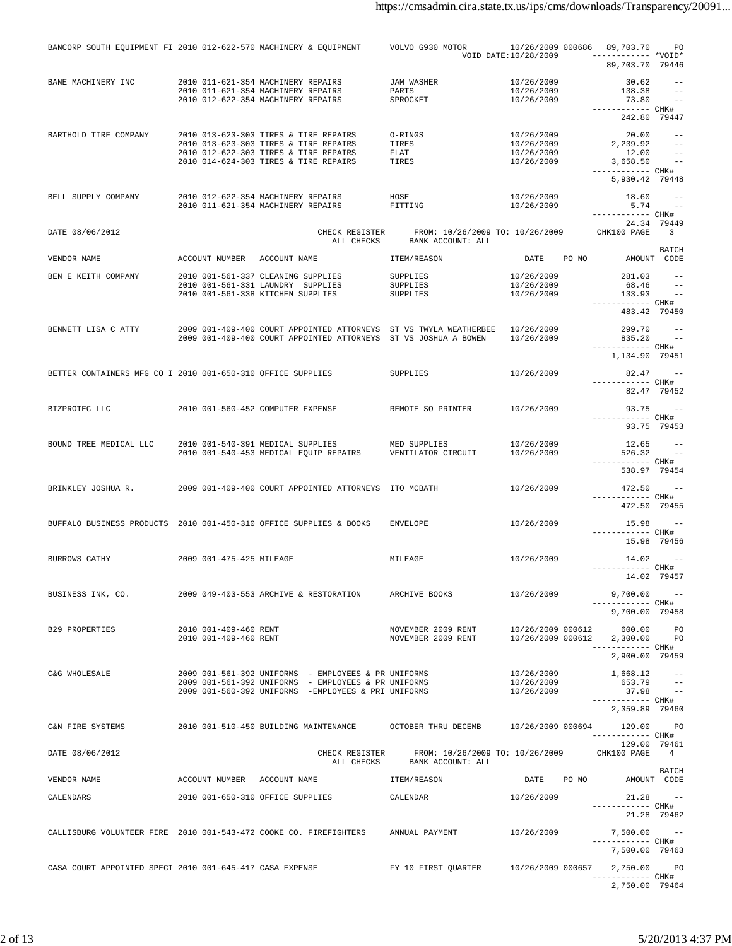| BANCORP SOUTH EQUIPMENT FI 2010 012-622-570 MACHINERY & EQUIPMENT  |                                                |                                                                                                                                                 | VOLVO G930 MOTOR                                     |                          | 10/26/2009 000686 89,703.70                               | PO                                      |
|--------------------------------------------------------------------|------------------------------------------------|-------------------------------------------------------------------------------------------------------------------------------------------------|------------------------------------------------------|--------------------------|-----------------------------------------------------------|-----------------------------------------|
|                                                                    |                                                |                                                                                                                                                 |                                                      | VOID DATE: 10/28/2009    | 89,703.70 79446                                           |                                         |
| BANE MACHINERY INC                                                 |                                                | 2010 011-621-354 MACHINERY REPAIRS                                                                                                              | JAM WASHER                                           | 10/26/2009               | 30.62                                                     | $ -$                                    |
|                                                                    |                                                | 2010 011-621-354 MACHINERY REPAIRS<br>2010 012-622-354 MACHINERY REPAIRS                                                                        | PARTS<br>SPROCKET                                    | 10/26/2009<br>10/26/2009 | 138.38<br>73.80                                           | $\sim$ $-$                              |
|                                                                    |                                                |                                                                                                                                                 |                                                      |                          | ------------ CHK#<br>242.80 79447                         |                                         |
| BARTHOLD TIRE COMPANY                                              |                                                | 2010 013-623-303 TIRES & TIRE REPAIRS                                                                                                           | O-RINGS                                              | 10/26/2009               | 20.00                                                     | $- -$                                   |
|                                                                    |                                                | 2010 013-623-303 TIRES & TIRE REPAIRS                                                                                                           | TIRES                                                | 10/26/2009               | 2,239.92                                                  | $\sim$ $-$                              |
|                                                                    |                                                | 2010 012-622-303 TIRES & TIRE REPAIRS<br>2010 014-624-303 TIRES & TIRE REPAIRS                                                                  | FLAT<br>TIRES                                        | 10/26/2009<br>10/26/2009 | 12.00<br>3,658.50                                         | $- -$<br><b>State State</b>             |
|                                                                    |                                                |                                                                                                                                                 |                                                      |                          | ------------ CHK#                                         |                                         |
|                                                                    |                                                |                                                                                                                                                 |                                                      |                          | 5,930.42 79448                                            |                                         |
| BELL SUPPLY COMPANY                                                |                                                | 2010 012-622-354 MACHINERY REPAIRS                                                                                                              | HOSE                                                 | 10/26/2009               | 18.60                                                     | $\sim$ $-$                              |
|                                                                    |                                                | 2010 011-621-354 MACHINERY REPAIRS                                                                                                              | FITTING                                              | 10/26/2009               | 5.74<br>------------ CHK#                                 | $\sim$ $-$                              |
| DATE 08/06/2012                                                    |                                                |                                                                                                                                                 |                                                      |                          |                                                           | 24.34 79449<br>$\overline{\phantom{a}}$ |
|                                                                    |                                                | CHECK REGISTER<br>ALL CHECKS                                                                                                                    | FROM: 10/26/2009 TO: 10/26/2009<br>BANK ACCOUNT: ALL |                          | CHK100 PAGE                                               |                                         |
| VENDOR NAME                                                        | ACCOUNT NUMBER ACCOUNT NAME                    |                                                                                                                                                 | ITEM/REASON                                          | DATE                     | PO NO<br>AMOUNT CODE                                      | BATCH                                   |
| BEN E KEITH COMPANY                                                |                                                |                                                                                                                                                 | SUPPLIES                                             | 10/26/2009               | 281.03                                                    | $- -$                                   |
|                                                                    |                                                | 2010 001-561-337 CLEANING SUPPLIES<br>2010 001-561-331 LAUNDRY SUPPLIES                                                                         | SUPPLIES                                             | 10/26/2009               | 68.46                                                     | $\sim$ $ -$                             |
|                                                                    |                                                | 2010 001-561-338 KITCHEN SUPPLIES                                                                                                               | SUPPLIES                                             | 10/26/2009               | 133.93                                                    | $\sim$ $-$                              |
|                                                                    |                                                |                                                                                                                                                 |                                                      |                          | ------------ CHK#<br>483.42 79450                         |                                         |
|                                                                    |                                                |                                                                                                                                                 |                                                      |                          |                                                           |                                         |
| BENNETT LISA C ATTY                                                |                                                | 2009 001-409-400 COURT APPOINTED ATTORNEYS ST VS TWYLA WEATHERBEE 10/26/2009<br>2009 001-409-400 COURT APPOINTED ATTORNEYS ST VS JOSHUA A BOWEN |                                                      | 10/26/2009               | 299.70<br>835.20                                          |                                         |
|                                                                    |                                                |                                                                                                                                                 |                                                      |                          | ------------ CHK#                                         |                                         |
|                                                                    |                                                |                                                                                                                                                 |                                                      |                          | 1,134.90 79451                                            |                                         |
| BETTER CONTAINERS MFG CO I 2010 001-650-310 OFFICE SUPPLIES        |                                                |                                                                                                                                                 | SUPPLIES                                             | 10/26/2009               | 82.47 --<br>------------ CHK#                             |                                         |
|                                                                    |                                                |                                                                                                                                                 |                                                      |                          |                                                           | 82.47 79452                             |
| BIZPROTEC LLC                                                      |                                                | 2010 001-560-452 COMPUTER EXPENSE                                                                                                               | REMOTE SO PRINTER                                    | 10/26/2009               | $93.75 - -$                                               |                                         |
|                                                                    |                                                |                                                                                                                                                 |                                                      |                          | ----------- CHK#                                          |                                         |
|                                                                    |                                                |                                                                                                                                                 |                                                      |                          | 93.75 79453                                               |                                         |
| BOUND TREE MEDICAL LLC                                             |                                                | 2010 001-540-391 MEDICAL SUPPLIES                                                                                                               | MED SUPPLIES                                         | 10/26/2009               | 12.65                                                     |                                         |
|                                                                    |                                                | 2010 001-540-453 MEDICAL EQUIP REPAIRS                                                                                                          | VENTILATOR CIRCUIT                                   | 10/26/2009               | 526.32<br>------------ CHK#                               | $\sim$ $-$                              |
|                                                                    |                                                |                                                                                                                                                 |                                                      |                          | 538.97 79454                                              |                                         |
| BRINKLEY JOSHUA R.                                                 |                                                | 2009 001-409-400 COURT APPOINTED ATTORNEYS ITO MCBATH                                                                                           |                                                      | 10/26/2009               | 472.50                                                    |                                         |
|                                                                    |                                                |                                                                                                                                                 |                                                      |                          | ------------ CHK#                                         |                                         |
|                                                                    |                                                |                                                                                                                                                 |                                                      |                          | 472.50 79455                                              |                                         |
| BUFFALO BUSINESS PRODUCTS 2010 001-450-310 OFFICE SUPPLIES & BOOKS |                                                |                                                                                                                                                 | <b>ENVELOPE</b>                                      | 10/26/2009               | 15.98 --                                                  |                                         |
|                                                                    |                                                |                                                                                                                                                 |                                                      |                          | ------------ CHK#<br>15.98 79456                          |                                         |
| BURROWS CATHY                                                      | 2009 001-475-425 MILEAGE                       |                                                                                                                                                 |                                                      | 10/26/2009               |                                                           |                                         |
|                                                                    |                                                |                                                                                                                                                 | MILEAGE                                              |                          | $14.02 - -$<br>------------ CHK#                          |                                         |
|                                                                    |                                                |                                                                                                                                                 |                                                      |                          | 14.02 79457                                               |                                         |
| BUSINESS INK, CO.                                                  |                                                | 2009 049-403-553 ARCHIVE & RESTORATION                                                                                                          | ARCHIVE BOOKS                                        | 10/26/2009               | $9,700.00 - -$                                            |                                         |
|                                                                    |                                                |                                                                                                                                                 |                                                      |                          | ------------ CHK#<br>9,700.00 79458                       |                                         |
|                                                                    |                                                |                                                                                                                                                 |                                                      |                          |                                                           |                                         |
| <b>B29 PROPERTIES</b>                                              | 2010 001-409-460 RENT<br>2010 001-409-460 RENT |                                                                                                                                                 | NOVEMBER 2009 RENT<br>NOVEMBER 2009 RENT             |                          | 10/26/2009 000612 600.00<br>10/26/2009 000612 2,300.00 PO | PO <sub>p</sub>                         |
|                                                                    |                                                |                                                                                                                                                 |                                                      |                          | ------------ CHK#                                         |                                         |
|                                                                    |                                                |                                                                                                                                                 |                                                      |                          | 2,900.00 79459                                            |                                         |
| C&G WHOLESALE                                                      |                                                | 2009 001-561-392 UNIFORMS - EMPLOYEES & PR UNIFORMS                                                                                             |                                                      | 10/26/2009               | $1,668.12 - -$                                            |                                         |
|                                                                    |                                                | 2009 001-561-392 UNIFORMS - EMPLOYEES & PR UNIFORMS<br>2009 001-560-392 UNIFORMS -EMPLOYEES & PRI UNIFORMS                                      |                                                      | 10/26/2009<br>10/26/2009 | 653.79<br>37.98                                           | $\sim$ $-$                              |
|                                                                    |                                                |                                                                                                                                                 |                                                      |                          | ------------ CHK#                                         |                                         |
|                                                                    |                                                |                                                                                                                                                 |                                                      |                          | 2,359.89 79460                                            |                                         |
| C&N FIRE SYSTEMS                                                   |                                                | 2010 001-510-450 BUILDING MAINTENANCE OCTOBER THRU DECEMB                                                                                       |                                                      | 10/26/2009 000694        | 129.00<br>------------ CHK#                               | <b>PO</b>                               |
|                                                                    |                                                |                                                                                                                                                 |                                                      |                          | 129.00 79461                                              |                                         |
| DATE 08/06/2012                                                    |                                                | CHECK REGISTER<br>ALL CHECKS                                                                                                                    | FROM: 10/26/2009 TO: 10/26/2009<br>BANK ACCOUNT: ALL |                          | CHK100 PAGE                                               | $\sim$ 4                                |
|                                                                    |                                                |                                                                                                                                                 |                                                      |                          |                                                           | BATCH                                   |
| VENDOR NAME                                                        | ACCOUNT NUMBER ACCOUNT NAME                    |                                                                                                                                                 | ITEM/REASON                                          | DATE PO NO               | AMOUNT CODE                                               |                                         |
| CALENDARS                                                          |                                                | 2010 001-650-310 OFFICE SUPPLIES                                                                                                                | CALENDAR                                             | 10/26/2009               |                                                           | $21.28 - -$                             |
|                                                                    |                                                |                                                                                                                                                 |                                                      |                          | ------------ CHK#                                         | 21.28 79462                             |
|                                                                    |                                                |                                                                                                                                                 |                                                      |                          |                                                           |                                         |
| CALLISBURG VOLUNTEER FIRE 2010 001-543-472 COOKE CO. FIREFIGHTERS  |                                                |                                                                                                                                                 | ANNUAL PAYMENT                                       | 10/26/2009               | $7,500.00$ --<br>------------ CHK#                        |                                         |
|                                                                    |                                                |                                                                                                                                                 |                                                      |                          | 7,500.00 79463                                            |                                         |
| CASA COURT APPOINTED SPECI 2010 001-645-417 CASA EXPENSE           |                                                |                                                                                                                                                 | FY 10 FIRST QUARTER 10/26/2009 000657                |                          | 2,750.00 PO                                               |                                         |
|                                                                    |                                                |                                                                                                                                                 |                                                      |                          | ------------ CHK#                                         |                                         |
|                                                                    |                                                |                                                                                                                                                 |                                                      |                          | 2,750.00 79464                                            |                                         |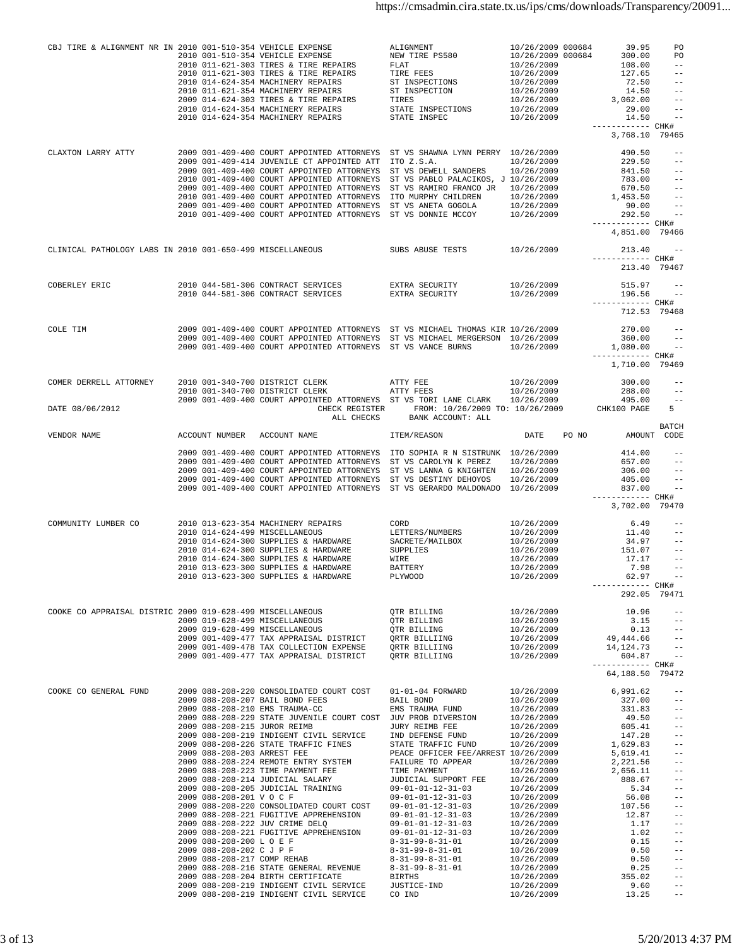| CBJ TIRE & ALIGNMENT NR IN 2010 001-510-354 VEHICLE EXPENSE |                       | 2010 001-510-354 VEHICLE EXPENSE<br>2010 011-621-303 TIRES & TIRE REPAIRS<br>2010 011-621-303 TIRES & TIRE REPAIRS<br>2010 014-624-354 MACHINERY REPAIRS<br>2010 011-621-354 MACHINERY REPAIRS<br>2009 014-624-303 TIRES & TIRE REPAIRS<br>2010 014-624-354 MACHINERY REPAIRS STATE INSPECTIONS<br>2010 014-624-354 MACHINERY REPAIRS STATE INSPECTIONS                                                                                                                                                                                                                                                                                                                                                                                                                                                                                                                                                      | ALIGNMENT<br>NEW TIRE PS580<br><b>FLAT</b><br>TIRE FEES<br>ST INSPECTIONS<br>ST INSPECTION<br>TIRES                                                                                                                                                                                                                                                                    | 10/26/2009 000684<br>10/26/2009 000684<br>10/26/2009<br>10/26/2009<br>10/26/2009<br>10/26/2009<br>10/26/2009<br>10/26/2009<br>10/26/2009                                                                                                                                             | 3,062.00<br>------------ CHK# | 39.95<br>300.00<br>108.00<br>127.65<br>72.50<br>14.50<br>29.00<br>14.50                                                                                                                                 | PO<br><b>PO</b><br>$- \, -$<br>$ -$<br>$ -$<br>$- -$<br>$ -$<br>$- -$<br>$\sim$ $-$                                                                                                                                                                                          |
|-------------------------------------------------------------|-----------------------|--------------------------------------------------------------------------------------------------------------------------------------------------------------------------------------------------------------------------------------------------------------------------------------------------------------------------------------------------------------------------------------------------------------------------------------------------------------------------------------------------------------------------------------------------------------------------------------------------------------------------------------------------------------------------------------------------------------------------------------------------------------------------------------------------------------------------------------------------------------------------------------------------------------|------------------------------------------------------------------------------------------------------------------------------------------------------------------------------------------------------------------------------------------------------------------------------------------------------------------------------------------------------------------------|--------------------------------------------------------------------------------------------------------------------------------------------------------------------------------------------------------------------------------------------------------------------------------------|-------------------------------|---------------------------------------------------------------------------------------------------------------------------------------------------------------------------------------------------------|------------------------------------------------------------------------------------------------------------------------------------------------------------------------------------------------------------------------------------------------------------------------------|
| CLAXTON LARRY ATTY                                          |                       | 2009 001-409-400 COURT APPOINTED ATTORNEYS ST VS SHAWNA LYNN PERRY 10/26/2009<br>2009 001-409-414 JUVENILE CT APPOINTED ATT ITO Z.S.A.<br>2009 001-409-400 COURT APPOINTED ATTORNEYS ST VS DEWELL SANDERS 10/26/2009<br>2010 001-409-400 COURT APPOINTED ATTORNEYS ST VS PABLO PALACIKOS, J 10/26/2009<br>2009 001-409-400 COURT APPOINTED ATTORNEYS ST VS RAMIRO FRANCO JR 10/26/2009<br>2009 001-409-400 COURT APPOINTED ALLOWED VALUE TO MURPHY CHILDREN<br>2010 001-409-400 COURT APPOINTED ATTORNEYS ITO MURPHY CHILDREN<br>2009 001-409-400 COURT APPOINTED ATTORNEYS ST VS ANETA GOGOLA<br>2010 001-409-400 COURT APPOINTED ATTORNEYS ST VS DONNIE MCCOY                                                                                                                                                                                                                                              |                                                                                                                                                                                                                                                                                                                                                                        | 10/26/2009<br>10/26/2009<br>10/26/2009<br>10/26/2009                                                                                                                                                                                                                                 | ------------ CHK#             | 490.50<br>229.50<br>841.50<br>783.00<br>670.50<br>1,453.50<br>292.50                                                                                                                                    | 3,768.10 79465<br>$- -$<br>$\qquad \qquad -$<br>$- -$<br>$90.00 - -$<br>4,851.00 79466                                                                                                                                                                                       |
| CLINICAL PATHOLOGY LABS IN 2010 001-650-499 MISCELLANEOUS   |                       |                                                                                                                                                                                                                                                                                                                                                                                                                                                                                                                                                                                                                                                                                                                                                                                                                                                                                                              | SUBS ABUSE TESTS                                                                                                                                                                                                                                                                                                                                                       | 10/26/2009                                                                                                                                                                                                                                                                           | ------------ CHK#             |                                                                                                                                                                                                         | $213.40 - -$<br>213.40 79467                                                                                                                                                                                                                                                 |
| COBERLEY ERIC                                               |                       | 2010 044-581-306 CONTRACT SERVICES<br>2010 044-581-306 CONTRACT SERVICES                                                                                                                                                                                                                                                                                                                                                                                                                                                                                                                                                                                                                                                                                                                                                                                                                                     | EXTRA SECURITY<br>EXTRA SECURITY                                                                                                                                                                                                                                                                                                                                       | 10/26/2009<br>10/26/2009                                                                                                                                                                                                                                                             | ------------ CHK#             |                                                                                                                                                                                                         | $515.97 - -$<br>196.56 --<br>712.53 79468                                                                                                                                                                                                                                    |
| COLE TIM                                                    |                       | 2009 001-409-400 COURT APPOINTED ATTORNEYS ST VS MICHAEL THOMAS KIR 10/26/2009<br>2009 001-409-400 COURT APPOINTED ATTORNEYS ST VS MICHAEL MERGERSON 10/26/2009<br>2009 001-409-400 COURT APPOINTED ATTORNEYS ST VS VANCE BURNS 10/26/2009                                                                                                                                                                                                                                                                                                                                                                                                                                                                                                                                                                                                                                                                   |                                                                                                                                                                                                                                                                                                                                                                        |                                                                                                                                                                                                                                                                                      | ------------ CHK#             | 270.00<br>360.00<br>1,080.00                                                                                                                                                                            | $- -$<br>$ -$<br>$\sim$ $-$<br>1,710.00 79469                                                                                                                                                                                                                                |
| COMER DERRELL ATTORNEY                                      |                       | $2010 001-340-700  DISTRICT CLERK 2010 001-340-700 DISTRICT CLERK ATTY FEES$<br>2009 001-409-400 COURT APPOINTED ATTORNEYS ST VS TORI LANE CLARK 10/26/2009                                                                                                                                                                                                                                                                                                                                                                                                                                                                                                                                                                                                                                                                                                                                                  |                                                                                                                                                                                                                                                                                                                                                                        | 10/26/2009<br>10/26/2009                                                                                                                                                                                                                                                             |                               | 300.00<br>288.00<br>495.00                                                                                                                                                                              | $ -$<br>$- -$<br>$- -$                                                                                                                                                                                                                                                       |
| DATE 08/06/2012                                             |                       |                                                                                                                                                                                                                                                                                                                                                                                                                                                                                                                                                                                                                                                                                                                                                                                                                                                                                                              | CHECK REGISTER FROM: 10/26/2009 TO: 10/26/2009 CHK100 PAGE<br>ALL CHECKS BANK ACCOUNT: ALL                                                                                                                                                                                                                                                                             |                                                                                                                                                                                                                                                                                      |                               |                                                                                                                                                                                                         | 5                                                                                                                                                                                                                                                                            |
| VENDOR NAME                                                 |                       | ACCOUNT NUMBER ACCOUNT NAME                                                                                                                                                                                                                                                                                                                                                                                                                                                                                                                                                                                                                                                                                                                                                                                                                                                                                  | ITEM/REASON                                                                                                                                                                                                                                                                                                                                                            | DATE PO NO                                                                                                                                                                                                                                                                           |                               |                                                                                                                                                                                                         | BATCH<br>AMOUNT CODE                                                                                                                                                                                                                                                         |
|                                                             |                       | 2009 001-409-400 COURT APPOINTED ATTORNEYS ITO SOPHIA R N SISTRUNK 10/26/2009<br>2009 001-409-400 COURT APPOINTED ATTORNEYS ST VS CAROLYN K PEREZ<br>2009 001-409-400 COURT APPOINTED ATTORNEYS ST VS LANNA G KNIGHTEN 10/26/2009<br>2009 001-409-400 COURT APPOINTED ATTORNEYS ST VS DESTINY DEHOYOS<br>2009 001-409-400 COURT APPOINTED ATTORNEYS ST VS GERARDO MALDONADO 10/26/2009                                                                                                                                                                                                                                                                                                                                                                                                                                                                                                                       |                                                                                                                                                                                                                                                                                                                                                                        | 10/26/2009<br>10/26/2009                                                                                                                                                                                                                                                             | ------------ CHK#             | 414.00<br>657.00<br>405.00<br>837.00                                                                                                                                                                    | $ -$<br>$ -$<br>$306.00 - -$<br>$- -$<br>$ -$<br>3,702.00 79470                                                                                                                                                                                                              |
| COMMUNITY LUMBER CO                                         |                       | 2010 013-623-354 MACHINERY REPAIRS<br>2010 014-624-499 MISCELLANEOUS<br>2010 014-624-300 SUPPLIES & HARDWARE<br>2010 014-624-300 SUPPLIES & HARDWARE<br>2010 014-624-300 SUPPLIES & HARDWARE<br>2010 013-623-300 SUPPLIES & HARDWARE<br>2010 013-623-300 SUPPLIES & HARDWARE                                                                                                                                                                                                                                                                                                                                                                                                                                                                                                                                                                                                                                 | CORD<br>LETTERS/NUMBERS<br>SACRETE/MAILBOX<br>SUPPLIES<br>WIRE<br>BATTERY<br>PLYWOOD                                                                                                                                                                                                                                                                                   | 10/26/2009<br>10/26/2009<br>10/26/2009<br>10/26/2009<br>10/26/2009<br>10/26/2009<br>10/26/2009                                                                                                                                                                                       | ----------- CHK#              | 6.49<br>11.40<br>34.97<br>151.07<br>17.17<br>7.98<br>62.97                                                                                                                                              | $- -$<br>$--$<br>$ -$<br>$ -$                                                                                                                                                                                                                                                |
| COOKE CO APPRAISAL DISTRIC 2009 019-628-499 MISCELLANEOUS   |                       | 2009 019-628-499 MISCELLANEOUS<br>2009 019-628-499 MISCELLANEOUS<br>2009 001-409-477 TAX APPRAISAL DISTRICT QRTR BILLIING<br>$2009 001-409-478 \text{ TAX COLLECTION EXPENSE} \qquad \qquad \text{QRTR BILLIING} \qquad \qquad 10/26/2009 \\ 2009 001-409-477 \text{ TAX APPRAISAL DISTRICT} \qquad \qquad \text{QRTR BILLIING} \qquad \qquad 10/26/2009$                                                                                                                                                                                                                                                                                                                                                                                                                                                                                                                                                    | QTR BILLING<br>QTR BILLING<br>QTR BILLING                                                                                                                                                                                                                                                                                                                              | 10/26/2009<br>10/26/2009<br>10/26/2009<br>10/26/2009                                                                                                                                                                                                                                 | 49,444.66<br>14, 124. 73      | 10.96<br>3.15                                                                                                                                                                                           | 292.05 79471<br>$--$<br>$\qquad \qquad - -$<br>$0.13 - -$<br>$--$<br>$- -$<br>$604.87 -$                                                                                                                                                                                     |
|                                                             |                       |                                                                                                                                                                                                                                                                                                                                                                                                                                                                                                                                                                                                                                                                                                                                                                                                                                                                                                              |                                                                                                                                                                                                                                                                                                                                                                        |                                                                                                                                                                                                                                                                                      | ------------ CHK#             |                                                                                                                                                                                                         | 64,188.50 79472                                                                                                                                                                                                                                                              |
| COOKE CO GENERAL FUND                                       | 2009 088-208-201 VOCF | 2009 088-208-220 CONSOLIDATED COURT COST<br>2009 088-208-207 BAIL BOND FEES<br>2009 088-208-210 EMS TRAUMA-CC<br>2009 088-208-229 STATE JUVENILE COURT COST JUV PROB DIVERSION<br>2009 088-208-219 INDIGENT CIVIL SERVICE IND DEFENSE FUND<br>2009 088-208-226 STATE TRAFFIC FINES STATE TRAFFIC FUND<br>2009 088-208-203 ARREST FEE<br>2009 088-208-224 REMOTE ENTRY SYSTEM<br>2009 088-208-223 TIME PAYMENT FEE<br>2009 088-208-214 JUDICIAL SALARY<br>2009 088-208-205 JUDICIAL TRAINING<br>2009 088-208-201 V O C F<br>2009 088-208-220 CONSOLIDATED COURT COST<br>2009 088-208-221 FUGITIVE APPREHENSION<br>2009 088-208-222 JUV CRIME DELQ<br>2009 088-208-221 FUGITIVE APPREHENSION 09-01-01-12-31-03<br>2009 088-208-200 L O E F<br>2009 088-208-202 C J P F<br>2009 088-208-217 COMP REHAB<br>2009 088-208-216 STATE GENERAL REVENUE $8-31-99-8-31-01$<br>2009 088-208-204 BIRTH CERTIFICATE BIRTHS | 01-01-04 FORWARD<br>BAIL BOND<br>EMS TRAUMA FUND<br>PEACE OFFICER FEE/ARREST 10/26/2009<br>FAILURE TO APPEAR<br>TIME PAYMENT<br>JUDICIAL SUPPORT FEE<br>09-01-01-12-31-03<br>09-01-01-12-31-03<br>$09 - 01 - 01 - 12 - 31 - 03$<br>$09 - 01 - 01 - 12 - 31 - 03$<br>$09 - 01 - 01 - 12 - 31 - 03$<br>8-31-99-8-31-01<br>8-31-99-8-31-01<br>$8 - 31 - 99 - 8 - 31 - 01$ | 10/26/2009<br>10/26/2009<br>10/26/2009<br>10/26/2009<br>10/26/2009<br>10/26/2009<br>10/26/2009<br>10/26/2009<br>10/26/2009<br>10/26/2009<br>10/26/2009<br>10/26/2009<br>10/26/2009<br>10/26/2009<br>10/26/2009<br>10/26/2009<br>10/26/2009<br>10/26/2009<br>10/26/2009<br>10/26/2009 |                               | 6,991.62<br>327.00<br>331.83<br>49.50<br>605.41<br>147.28<br>1,629.83<br>5,619.41<br>2,221.56<br>2,656.11<br>888.67<br>5.34<br>56.08<br>107.56<br>12.87<br>1.17<br>1.02<br>0.15<br>0.50<br>0.50<br>0.25 | $ -$<br>$- -$<br>$ -$<br>$ -$<br>$\qquad \qquad -$<br>$- \, -$<br>$- \, -$<br>$ -$<br>$\qquad \qquad -$<br>$\equiv$ $\equiv$<br>$\equiv$ $\equiv$<br>$\qquad \qquad -$<br>$ -$<br>$ -$<br>$ -$<br>$ -$<br>$ -$<br>$\qquad \qquad -$<br>$- \, -$<br>$\qquad \qquad -$<br>$ -$ |
|                                                             |                       | 2009 088-208-219 INDIGENT CIVIL SERVICE JUSTICE-IND<br>2009 088-208-219 INDIGENT CIVIL SERVICE                                                                                                                                                                                                                                                                                                                                                                                                                                                                                                                                                                                                                                                                                                                                                                                                               | CO IND                                                                                                                                                                                                                                                                                                                                                                 | 10/26/2009<br>10/26/2009<br>10/26/2009                                                                                                                                                                                                                                               |                               | 355.02<br>9.60<br>13.25                                                                                                                                                                                 | $ -$<br>$- \, -$<br>$- \, -$                                                                                                                                                                                                                                                 |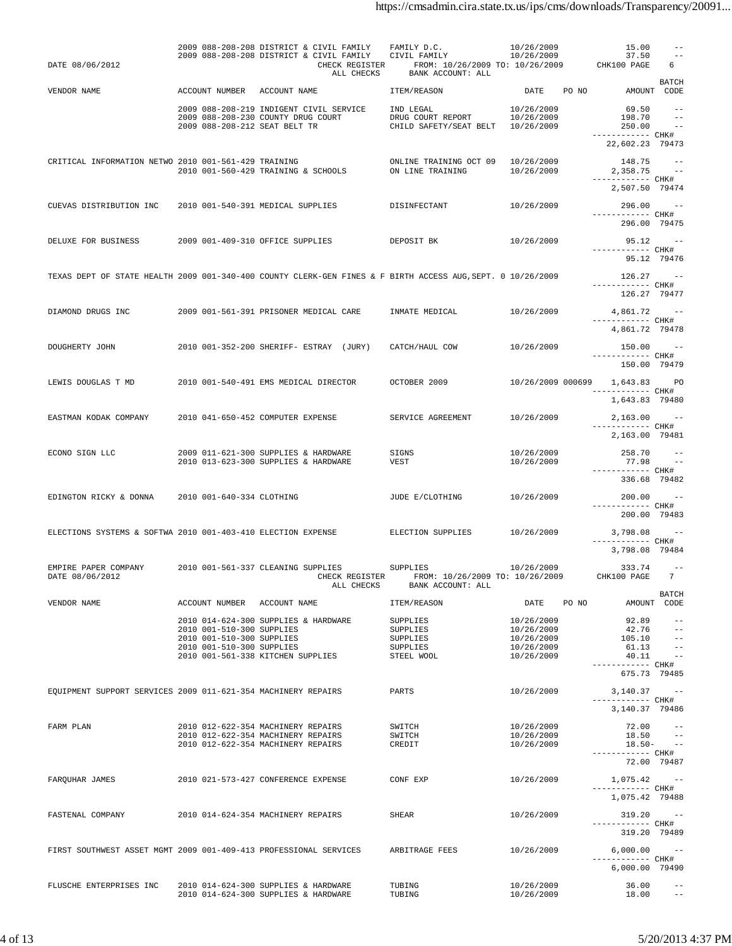| DATE 08/06/2012                                                                                             |  |  | 2009 088-208-208 DISTRICT & CIVIL FAMILY<br>2009 088-208-208 DISTRICT & CIVIL FAMILY                                                                             | CHECK REGISTER | ALL CHECKS | FAMILY D.C.<br>CIVIL FAMILY<br>FROM: 10/26/2009 TO: 10/26/2009<br>BANK ACCOUNT: ALL | 10/26/2009<br>10/26/2009                                           |       | 15.00<br>37.50<br>CHK100 PAGE                                     | $- -$<br>$ -$<br>6<br><b>BATCH</b>                                    |
|-------------------------------------------------------------------------------------------------------------|--|--|------------------------------------------------------------------------------------------------------------------------------------------------------------------|----------------|------------|-------------------------------------------------------------------------------------|--------------------------------------------------------------------|-------|-------------------------------------------------------------------|-----------------------------------------------------------------------|
| VENDOR NAME                                                                                                 |  |  | ACCOUNT NUMBER ACCOUNT NAME                                                                                                                                      |                |            | ITEM/REASON                                                                         | DATE                                                               | PO NO |                                                                   | AMOUNT CODE                                                           |
|                                                                                                             |  |  | 2009 088-208-219 INDIGENT CIVIL SERVICE<br>2009 088-208-230 COUNTY DRUG COURT<br>2009 088-208-212 SEAT BELT TR                                                   |                |            | IND LEGAL<br>DRUG COURT REPORT<br>CHILD SAFETY/SEAT BELT                            | 10/26/2009<br>10/26/2009<br>10/26/2009                             |       | 69.50<br>198.70<br>250.00<br>------------ CHK#<br>22,602.23 79473 | $- -$<br>$ -$                                                         |
| CRITICAL INFORMATION NETWO 2010 001-561-429 TRAINING                                                        |  |  | 2010 001-560-429 TRAINING & SCHOOLS                                                                                                                              |                |            | ONLINE TRAINING OCT 09<br>ON LINE TRAINING                                          | 10/26/2009<br>10/26/2009                                           |       | 148.75<br>2,358.75<br>------------ CHK#<br>2,507.50 79474         | $\sim$ $-$                                                            |
| CUEVAS DISTRIBUTION INC                                                                                     |  |  | 2010 001-540-391 MEDICAL SUPPLIES                                                                                                                                |                |            | DISINFECTANT                                                                        | 10/26/2009                                                         |       | 296.00<br>------------ CHK#<br>296.00 79475                       | $\sim$ $-$                                                            |
| DELUXE FOR BUSINESS                                                                                         |  |  | 2009 001-409-310 OFFICE SUPPLIES                                                                                                                                 |                |            | DEPOSIT BK                                                                          | 10/26/2009                                                         |       | 95.12<br>------------ CHK#<br>95.12 79476                         | $\sim$ $-$                                                            |
| TEXAS DEPT OF STATE HEALTH 2009 001-340-400 COUNTY CLERK-GEN FINES & F BIRTH ACCESS AUG, SEPT. 0 10/26/2009 |  |  |                                                                                                                                                                  |                |            |                                                                                     |                                                                    |       | 126.27<br>----------- CHK#<br>126.27 79477                        | $\sim$ $-$                                                            |
| DIAMOND DRUGS INC                                                                                           |  |  | 2009 001-561-391 PRISONER MEDICAL CARE                                                                                                                           |                |            | INMATE MEDICAL                                                                      | 10/26/2009                                                         |       | 4,861.72<br>----------- CHK#<br>4,861.72 79478                    | $\sim$ $-$                                                            |
| DOUGHERTY JOHN                                                                                              |  |  | 2010 001-352-200 SHERIFF- ESTRAY (JURY)                                                                                                                          |                |            | CATCH/HAUL COW                                                                      | 10/26/2009                                                         |       | $150.00 - -$<br>----------- CHK#<br>150.00 79479                  |                                                                       |
| LEWIS DOUGLAS T MD                                                                                          |  |  | 2010 001-540-491 EMS MEDICAL DIRECTOR                                                                                                                            |                |            | OCTOBER 2009                                                                        | 10/26/2009 000699                                                  |       | 1,643.83 PO<br>------------ CHK#<br>1,643.83 79480                |                                                                       |
| EASTMAN KODAK COMPANY                                                                                       |  |  | 2010 041-650-452 COMPUTER EXPENSE                                                                                                                                |                |            | SERVICE AGREEMENT                                                                   | 10/26/2009                                                         |       | $2,163.00 - -$<br>------------ CHK#<br>2,163.00 79481             |                                                                       |
| ECONO SIGN LLC                                                                                              |  |  | 2009 011-621-300 SUPPLIES & HARDWARE<br>2010 013-623-300 SUPPLIES & HARDWARE                                                                                     |                |            | SIGNS<br>VEST                                                                       | 10/26/2009<br>10/26/2009                                           |       | 258.70<br>77.98<br>------------ CHK#                              | $- -$<br>$\sim$ $-$                                                   |
| EDINGTON RICKY & DONNA                                                                                      |  |  | 2010 001-640-334 CLOTHING                                                                                                                                        |                |            | JUDE E/CLOTHING                                                                     | 10/26/2009                                                         |       | 336.68 79482<br>200.00<br>------------ CHK#                       | $\sim$ $-$                                                            |
| ELECTIONS SYSTEMS & SOFTWA 2010 001-403-410 ELECTION EXPENSE                                                |  |  |                                                                                                                                                                  |                |            | ELECTION SUPPLIES                                                                   | 10/26/2009                                                         |       | 200.00 79483<br>3,798.08<br>------------ CHK#<br>3,798.08 79484   |                                                                       |
| EMPIRE PAPER COMPANY<br>DATE 08/06/2012                                                                     |  |  | 2010 001-561-337 CLEANING SUPPLIES                                                                                                                               | CHECK REGISTER | ALL CHECKS | SUPPLIES<br>FROM: 10/26/2009 TO: 10/26/2009<br>BANK ACCOUNT: ALL                    | 10/26/2009                                                         |       | 333.74<br>CHK100 PAGE                                             | $- -$                                                                 |
| VENDOR NAME                                                                                                 |  |  | ACCOUNT NUMBER ACCOUNT NAME                                                                                                                                      |                |            | ITEM/REASON                                                                         | DATE                                                               | PO NO |                                                                   | <b>BATCH</b><br>AMOUNT CODE                                           |
|                                                                                                             |  |  | 2010 014-624-300 SUPPLIES & HARDWARE<br>2010 001-510-300 SUPPLIES<br>2010 001-510-300 SUPPLIES<br>2010 001-510-300 SUPPLIES<br>2010 001-561-338 KITCHEN SUPPLIES |                |            | SUPPLIES<br>SUPPLIES<br>SUPPLIES<br>SUPPLIES<br>STEEL WOOL                          | 10/26/2009<br>10/26/2009<br>10/26/2009<br>10/26/2009<br>10/26/2009 |       | 92.89<br>42.76<br>105.10<br>61.13<br>40.11<br>------------ CHK#   | $\sim$ $-$<br>$ -$<br>$\qquad \qquad -$<br>$\qquad \qquad -$<br>$- -$ |
| EQUIPMENT SUPPORT SERVICES 2009 011-621-354 MACHINERY REPAIRS                                               |  |  |                                                                                                                                                                  |                |            | PARTS                                                                               | 10/26/2009                                                         |       | 675.73 79485<br>3,140.37<br>------------ CHK#                     | $- -$                                                                 |
| FARM PLAN                                                                                                   |  |  | 2010 012-622-354 MACHINERY REPAIRS<br>2010 012-622-354 MACHINERY REPAIRS<br>2010 012-622-354 MACHINERY REPAIRS                                                   |                |            | SWITCH<br>SWITCH<br>CREDIT                                                          | 10/26/2009<br>10/26/2009<br>10/26/2009                             |       | 3,140.37 79486<br>72.00<br>18.50<br>18.50-<br>------------ CHK#   | $\qquad \qquad -$<br>$ -$<br>$- -$                                    |
| FAROUHAR JAMES                                                                                              |  |  | 2010 021-573-427 CONFERENCE EXPENSE                                                                                                                              |                |            | CONF EXP                                                                            | 10/26/2009                                                         |       | 1,075.42<br>------------ CHK#<br>1,075.42 79488                   | 72.00 79487                                                           |
| FASTENAL COMPANY                                                                                            |  |  | 2010 014-624-354 MACHINERY REPAIRS                                                                                                                               |                |            | SHEAR                                                                               | 10/26/2009                                                         |       | $319.20 - -$<br>------------ CHK#<br>319.20 79489                 |                                                                       |
| FIRST SOUTHWEST ASSET MGMT 2009 001-409-413 PROFESSIONAL SERVICES                                           |  |  |                                                                                                                                                                  |                |            | ARBITRAGE FEES                                                                      | 10/26/2009                                                         |       | 6,000.00<br>------------ CHK#<br>6,000.00 79490                   | $\sim$ $-$                                                            |
| FLUSCHE ENTERPRISES INC                                                                                     |  |  | 2010 014-624-300 SUPPLIES & HARDWARE<br>2010 014-624-300 SUPPLIES & HARDWARE                                                                                     |                |            | TUBING<br>TUBING                                                                    | 10/26/2009<br>10/26/2009                                           |       | 36.00<br>18.00                                                    | $\qquad \qquad -$<br>$\equiv$ $\equiv$                                |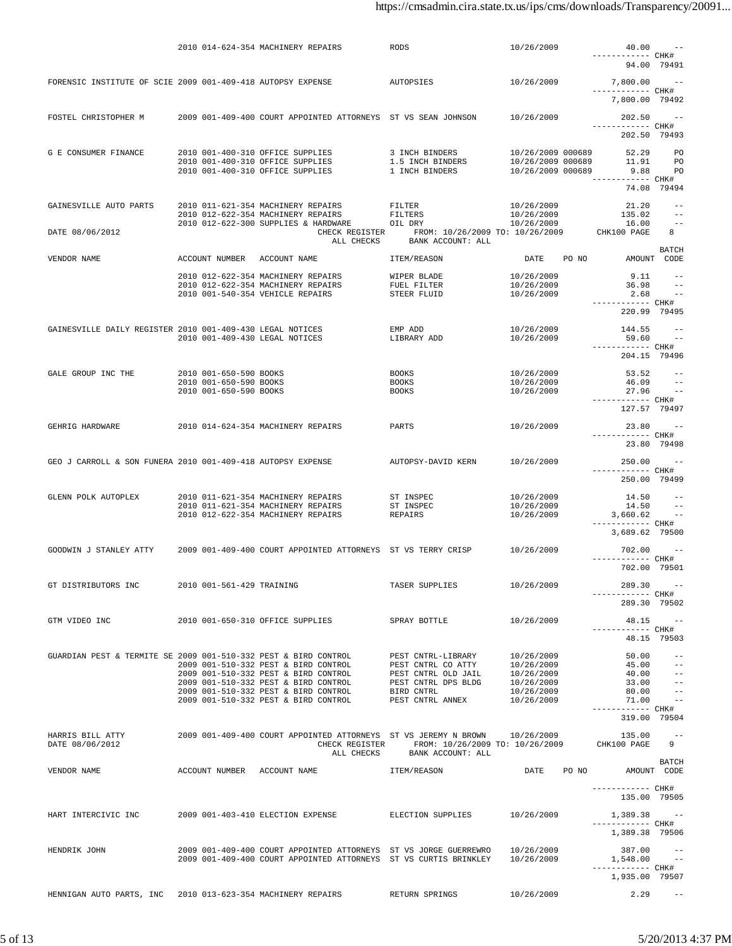|                                                                 |                           | 2010 014-624-354 MACHINERY REPAIRS                                           | RODS                                                 | 10/26/2009                             |       | 40.00                             | $\sim$ $-$            |
|-----------------------------------------------------------------|---------------------------|------------------------------------------------------------------------------|------------------------------------------------------|----------------------------------------|-------|-----------------------------------|-----------------------|
|                                                                 |                           |                                                                              |                                                      |                                        |       | ------------ CHK#<br>94.00 79491  |                       |
| FORENSIC INSTITUTE OF SCIE 2009 001-409-418 AUTOPSY EXPENSE     |                           |                                                                              | AUTOPSIES                                            | 10/26/2009                             |       | $7,800.00$ --                     |                       |
|                                                                 |                           |                                                                              |                                                      |                                        |       | ------------ CHK#                 |                       |
|                                                                 |                           |                                                                              |                                                      |                                        |       | 7,800.00 79492                    |                       |
| FOSTEL CHRISTOPHER M                                            |                           | 2009 001-409-400 COURT APPOINTED ATTORNEYS ST VS SEAN JOHNSON                |                                                      | 10/26/2009                             |       | $202.50 - -$                      |                       |
|                                                                 |                           |                                                                              |                                                      |                                        |       | ------------ CHK#<br>202.50 79493 |                       |
|                                                                 |                           |                                                                              |                                                      |                                        |       |                                   |                       |
| G E CONSUMER FINANCE                                            |                           | 2010 001-400-310 OFFICE SUPPLIES<br>2010 001-400-310 OFFICE SUPPLIES         | 3 INCH BINDERS<br>1.5 INCH BINDERS                   | 10/26/2009 000689<br>10/26/2009 000689 |       | 52.29<br>11.91                    | PO<br>PO <sub>P</sub> |
|                                                                 |                           | 2010 001-400-310 OFFICE SUPPLIES                                             | 1 INCH BINDERS                                       | 10/26/2009 000689                      |       | 9.88                              | PO <sub>PO</sub>      |
|                                                                 |                           |                                                                              |                                                      |                                        |       | ----------- CHK#                  | 74.08 79494           |
|                                                                 |                           |                                                                              |                                                      |                                        |       |                                   |                       |
| GAINESVILLE AUTO PARTS                                          |                           | 2010 011-621-354 MACHINERY REPAIRS<br>2010 012-622-354 MACHINERY REPAIRS     | FILTER<br>FILTERS                                    | 10/26/2009<br>10/26/2009               |       | 21.20<br>135.02                   | $ -$<br>$- -$         |
|                                                                 |                           | 2010 012-622-300 SUPPLIES & HARDWARE                                         | OIL DRY                                              | 10/26/2009                             |       | 16.00                             | $- -$                 |
| DATE 08/06/2012                                                 |                           | CHECK REGISTER<br>ALL CHECKS                                                 | FROM: 10/26/2009 TO: 10/26/2009<br>BANK ACCOUNT: ALL |                                        |       | CHK100 PAGE                       | 8                     |
|                                                                 |                           |                                                                              |                                                      |                                        |       |                                   | <b>BATCH</b>          |
| VENDOR NAME                                                     |                           | ACCOUNT NUMBER ACCOUNT NAME                                                  | ITEM/REASON                                          | DATE PO NO                             |       | AMOUNT CODE                       |                       |
|                                                                 |                           | 2010 012-622-354 MACHINERY REPAIRS                                           | WIPER BLADE                                          | 10/26/2009                             |       | 9.11                              | $- -$                 |
|                                                                 |                           | 2010 012-622-354 MACHINERY REPAIRS<br>2010 001-540-354 VEHICLE REPAIRS       | FUEL FILTER<br>STEER FLUID                           | 10/26/2009<br>10/26/2009               |       | 36.98<br>2.68                     | $\sim$ $-$            |
|                                                                 |                           |                                                                              |                                                      |                                        |       | ------------ CHK#<br>220.99 79495 |                       |
|                                                                 |                           |                                                                              |                                                      |                                        |       |                                   |                       |
| GAINESVILLE DAILY REGISTER 2010 001-409-430 LEGAL NOTICES       |                           |                                                                              | EMP ADD<br>LIBRARY ADD                               | 10/26/2009                             |       | 144.55                            |                       |
|                                                                 |                           | 2010 001-409-430 LEGAL NOTICES                                               |                                                      | 10/26/2009                             |       | 59.60<br>------------ CHK#        |                       |
|                                                                 |                           |                                                                              |                                                      |                                        |       | 204.15 79496                      |                       |
| GALE GROUP INC THE                                              | 2010 001-650-590 BOOKS    |                                                                              | <b>BOOKS</b>                                         | 10/26/2009                             |       | $53.52 - -$                       |                       |
|                                                                 | 2010 001-650-590 BOOKS    |                                                                              | <b>BOOKS</b>                                         | 10/26/2009                             |       | 46.09                             | $ -$                  |
|                                                                 | 2010 001-650-590 BOOKS    |                                                                              | <b>BOOKS</b>                                         | 10/26/2009                             |       | $27.96 -$<br>------------ CHK#    |                       |
|                                                                 |                           |                                                                              |                                                      |                                        |       | 127.57 79497                      |                       |
| GEHRIG HARDWARE                                                 |                           | 2010 014-624-354 MACHINERY REPAIRS                                           | PARTS                                                | 10/26/2009                             |       | 23.80                             |                       |
|                                                                 |                           |                                                                              |                                                      |                                        |       | ----------- CHK#<br>23.80 79498   |                       |
|                                                                 |                           |                                                                              |                                                      |                                        |       |                                   |                       |
| GEO J CARROLL & SON FUNERA 2010 001-409-418 AUTOPSY EXPENSE     |                           |                                                                              | AUTOPSY-DAVID KERN                                   | 10/26/2009                             |       | $250.00 - -$<br>------------ CHK# |                       |
|                                                                 |                           |                                                                              |                                                      |                                        |       | 250.00 79499                      |                       |
| GLENN POLK AUTOPLEX                                             |                           | 2010 011-621-354 MACHINERY REPAIRS                                           | ST INSPEC                                            | 10/26/2009                             |       | 14.50                             | $ -$                  |
|                                                                 |                           | 2010 011-621-354 MACHINERY REPAIRS                                           | ST INSPEC                                            | 10/26/2009                             |       | 14.50                             | $\sim$ $-$            |
|                                                                 |                           | 2010 012-622-354 MACHINERY REPAIRS                                           | REPAIRS                                              | 10/26/2009                             |       | $3,660.62$ --<br>----------- CHK# |                       |
|                                                                 |                           |                                                                              |                                                      |                                        |       | 3,689.62 79500                    |                       |
| GOODWIN J STANLEY ATTY                                          |                           | 2009 001-409-400 COURT APPOINTED ATTORNEYS ST VS TERRY CRISP                 |                                                      | 10/26/2009                             |       | 702.00 --                         |                       |
|                                                                 |                           |                                                                              |                                                      |                                        |       | ------------ CHK#                 |                       |
|                                                                 |                           |                                                                              |                                                      |                                        |       | 702.00 79501                      |                       |
| GT DISTRIBUTORS INC                                             | 2010 001-561-429 TRAINING |                                                                              | TASER SUPPLIES                                       | 10/26/2009                             |       | 289.30                            | $\sim$ $-$            |
|                                                                 |                           |                                                                              |                                                      |                                        |       | ----------- CHK#<br>289.30 79502  |                       |
|                                                                 |                           |                                                                              |                                                      |                                        |       |                                   |                       |
| GTM VIDEO INC                                                   |                           | 2010 001-650-310 OFFICE SUPPLIES                                             | SPRAY BOTTLE                                         | 10/26/2009                             |       | ----------- CHK#                  | $48.15 - -$           |
|                                                                 |                           |                                                                              |                                                      |                                        |       |                                   | 48.15 79503           |
| GUARDIAN PEST & TERMITE SE 2009 001-510-332 PEST & BIRD CONTROL |                           |                                                                              | PEST CNTRL-LIBRARY                                   | 10/26/2009                             |       | 50.00                             | $- -$                 |
|                                                                 |                           | 2009 001-510-332 PEST & BIRD CONTROL                                         | PEST CNTRL CO ATTY                                   | 10/26/2009                             |       |                                   | $45.00 - -$           |
|                                                                 |                           | 2009 001-510-332 PEST & BIRD CONTROL<br>2009 001-510-332 PEST & BIRD CONTROL | PEST CNTRL OLD JAIL<br>PEST CNTRL DPS BLDG           | 10/26/2009<br>10/26/2009               |       | 40.00<br>33.00 --                 |                       |
|                                                                 |                           | 2009 001-510-332 PEST & BIRD CONTROL                                         | BIRD CNTRL                                           | 10/26/2009                             |       | 80.00                             | $- -$                 |
|                                                                 |                           | 2009 001-510-332 PEST & BIRD CONTROL                                         | PEST CNTRL ANNEX                                     | 10/26/2009                             |       | $71.00 - -$<br>------------ CHK#  |                       |
|                                                                 |                           |                                                                              |                                                      |                                        |       | 319.00 79504                      |                       |
| HARRIS BILL ATTY                                                |                           | 2009 001-409-400 COURT APPOINTED ATTORNEYS ST VS JEREMY N BROWN 10/26/2009   |                                                      |                                        |       | 135.00                            | $- -$                 |
| DATE 08/06/2012                                                 |                           |                                                                              | CHECK REGISTER FROM: 10/26/2009 TO: 10/26/2009       |                                        |       | CHK100 PAGE                       | 9                     |
|                                                                 |                           | ALL CHECKS                                                                   | BANK ACCOUNT: ALL                                    |                                        |       |                                   | <b>BATCH</b>          |
| VENDOR NAME                                                     |                           | ACCOUNT NUMBER ACCOUNT NAME                                                  | ITEM/REASON                                          | DATE                                   | PO NO | AMOUNT CODE                       |                       |
|                                                                 |                           |                                                                              |                                                      |                                        |       | ------------ CHK#                 |                       |
|                                                                 |                           |                                                                              |                                                      |                                        |       | 135.00 79505                      |                       |
| HART INTERCIVIC INC                                             |                           | 2009 001-403-410 ELECTION EXPENSE                                            | ELECTION SUPPLIES                                    | 10/26/2009                             |       | 1,389.38 --                       |                       |
|                                                                 |                           |                                                                              |                                                      |                                        |       | ------------ CHK#                 |                       |
|                                                                 |                           |                                                                              |                                                      |                                        |       | 1,389.38 79506                    |                       |
| HENDRIK JOHN                                                    |                           | 2009 001-409-400 COURT APPOINTED ATTORNEYS ST VS JORGE GUERREWRO             |                                                      | 10/26/2009                             |       | 387.00                            | $\sim$ $  -$          |
|                                                                 |                           | 2009 001-409-400 COURT APPOINTED ATTORNEYS ST VS CURTIS BRINKLEY             |                                                      | 10/26/2009                             |       | 1,548.00<br>------------ CHK#     | $\sim$ $-$            |
|                                                                 |                           |                                                                              |                                                      |                                        |       | 1,935.00 79507                    |                       |
| HENNIGAN AUTO PARTS, INC 2010 013-623-354 MACHINERY REPAIRS     |                           |                                                                              | RETURN SPRINGS                                       | 10/26/2009                             |       | 2.29                              | $\sim$ $-$            |
|                                                                 |                           |                                                                              |                                                      |                                        |       |                                   |                       |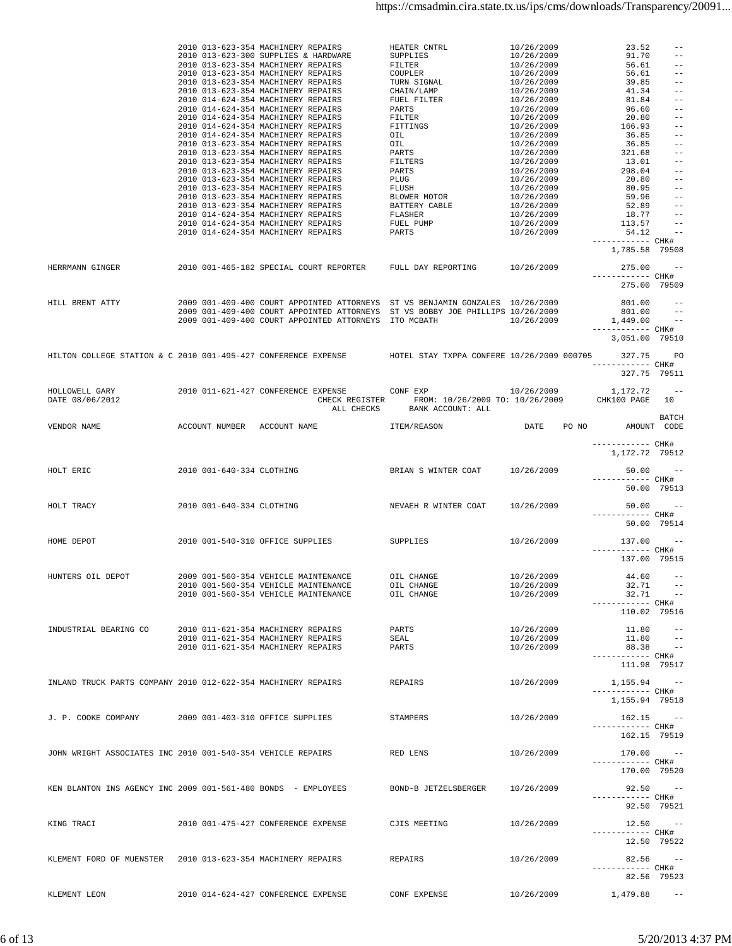|                                                               |                           | 2010 013-623-354 MACHINERY REPAIRS<br>2010 013-623-300 SUPPLIES & HARDWARE<br>2010 013-623-300 SUPPLIES & HARDWARE SUPPLIES<br>2010 013-623-354 MACHINERY REPAIRS FILTER<br>2010 013-623-354 MACHINERY REPAIRS COUPLER<br>2010 013-623-354 MACHINERY REPAIRS TURN SIGNAL<br>2010 013-623-354 MACHINERY REPAIRS TURN | HEATER CNTRL<br>SUPPLIES                                                                      | 10/26/2009<br>10/26/2009<br>10/26/2009<br>10/26/2009<br>10/26/2009<br>10/26/2009<br>10/26/2009<br>10/26/2009<br>$10/26/2009$<br>$10/26/2009$<br>$10/26/2009$<br>$10/26/2009$<br>$10/26/2009$<br>$10/26/2009$<br>$10/26/2009$<br>$10/26/2009$<br>$10/26/2009$<br>10/26/2009<br>10/26/2009<br>10/26/2009<br>10/26/2009<br>10/26/2009 | 23.52<br>91.70<br>56.61<br>56.61<br>39.85<br>41.34<br>81.84<br>96.60<br>$20.80 - -$<br>166.93<br>36.85<br>36.85<br>$321.68 - -$<br>13.01<br>298.04<br>20.80<br>$80.95 -$<br>$59.96 - -$<br>$52.89 - -$<br>$18.77 - -$<br>$113.57 -$ | $--$<br>$ -$<br>$--$<br>$- -$<br>$- -$<br>$- -$<br>$ -$<br>$\hspace{0.1em} - \hspace{0.1em} - \hspace{0.1em}$<br>$- -$<br>$- -$<br>$- -$<br>$ -$<br>$- -$ |
|---------------------------------------------------------------|---------------------------|---------------------------------------------------------------------------------------------------------------------------------------------------------------------------------------------------------------------------------------------------------------------------------------------------------------------|-----------------------------------------------------------------------------------------------|------------------------------------------------------------------------------------------------------------------------------------------------------------------------------------------------------------------------------------------------------------------------------------------------------------------------------------|-------------------------------------------------------------------------------------------------------------------------------------------------------------------------------------------------------------------------------------|-----------------------------------------------------------------------------------------------------------------------------------------------------------|
|                                                               |                           | 2010 014-624-354 MACHINERY REPAIRS                                                                                                                                                                                                                                                                                  | PARTS                                                                                         | 10/26/2009                                                                                                                                                                                                                                                                                                                         | $54.12 - -$<br>------------ CHK#<br>1,785.58 79508                                                                                                                                                                                  |                                                                                                                                                           |
| HERRMANN GINGER                                               |                           | 2010 001-465-182 SPECIAL COURT REPORTER FULL DAY REPORTING 10/26/2009                                                                                                                                                                                                                                               |                                                                                               |                                                                                                                                                                                                                                                                                                                                    | $275.00 - -$<br>----------- CHK#<br>275.00 79509                                                                                                                                                                                    |                                                                                                                                                           |
| HILL BRENT ATTY                                               |                           | 2009 001-409-400 COURT APPOINTED ATTORNEYS ST VS BENJAMIN GONZALES 10/26/2009<br>2009 001-409-400 COURT APPOINTED ATTORNEYS ST VS BOBBY JOE PHILLIPS 10/26/2009<br>2009 001-409-400 COURT APPOINTED ATTORNEYS ITO MCBATH 10/26/2009                                                                                 |                                                                                               |                                                                                                                                                                                                                                                                                                                                    | $801.00 - -$<br>$801.00 - -$<br>$1,449.00 - -$<br>------------ CHK#<br>3,051.00 79510                                                                                                                                               |                                                                                                                                                           |
|                                                               |                           | HILTON COLLEGE STATION & C 2010 001-495-427 CONFERENCE EXPENSE HOTEL STAY TXPPA CONFERE 10/26/2009 000705                                                                                                                                                                                                           |                                                                                               |                                                                                                                                                                                                                                                                                                                                    | 327.75 PO<br>------------ CHK#<br>327.75 79511                                                                                                                                                                                      |                                                                                                                                                           |
| HOLLOWELL GARY<br>DATE 08/06/2012                             |                           | 2010 011-621-427 CONFERENCE EXPENSE CONF EXP 0000 10/26/2009                                                                                                                                                                                                                                                        | CHECK REGISTER FROM: 10/26/2009 TO: 10/26/2009 CHK100 PAGE 10<br>ALL CHECKS BANK ACCOUNT: ALL |                                                                                                                                                                                                                                                                                                                                    | $1,172.72$ --                                                                                                                                                                                                                       |                                                                                                                                                           |
| VENDOR NAME                                                   |                           | ACCOUNT NUMBER ACCOUNT NAME                                                                                                                                                                                                                                                                                         | ITEM/REASON                                                                                   |                                                                                                                                                                                                                                                                                                                                    | DATE PO NO AMOUNT CODE<br>------------ CHK#                                                                                                                                                                                         | BATCH                                                                                                                                                     |
| HOLT ERIC                                                     |                           | 2010 001-640-334 CLOTHING                                                                                                                                                                                                                                                                                           | BRIAN S WINTER COAT 10/26/2009                                                                |                                                                                                                                                                                                                                                                                                                                    | 1,172.72 79512<br>$50.00 - -$                                                                                                                                                                                                       |                                                                                                                                                           |
|                                                               |                           |                                                                                                                                                                                                                                                                                                                     |                                                                                               |                                                                                                                                                                                                                                                                                                                                    | ------------ CHK#<br>50.00 79513                                                                                                                                                                                                    |                                                                                                                                                           |
| HOLT TRACY                                                    | 2010 001-640-334 CLOTHING |                                                                                                                                                                                                                                                                                                                     | NEVAEH R WINTER COAT 10/26/2009                                                               |                                                                                                                                                                                                                                                                                                                                    | $50.00 - -$<br>------------ CHK#<br>50.00 79514                                                                                                                                                                                     |                                                                                                                                                           |
| HOME DEPOT                                                    |                           | 2010 001-540-310 OFFICE SUPPLIES SUPPLIES                                                                                                                                                                                                                                                                           |                                                                                               | 10/26/2009                                                                                                                                                                                                                                                                                                                         | $137.00 - -$<br>------------ CHK#<br>137.00 79515                                                                                                                                                                                   |                                                                                                                                                           |
|                                                               |                           | HUNTERS OIL DEPOT 600 2009 001-560-354 VEHICLE MAINTENANCE 601L CHANGE 10/26/2009 44.60 --<br>2010 001-560-354 VEHICLE MAINTENANCE<br>2010 001-560-354 VEHICLE MAINTENANCE                                                                                                                                          | OIL CHANGE<br>OIL CHANGE                                                                      | 10/26/2009<br>10/26/2009                                                                                                                                                                                                                                                                                                           | ----------- CHK#<br>110.02 79516                                                                                                                                                                                                    | $32.71 - -$<br>$32.71 - -$                                                                                                                                |
| INDUSTRIAL BEARING CO                                         |                           | 2010 011-621-354 MACHINERY REPAIRS<br>2010 011-621-354 MACHINERY REPAIRS<br>2010 011-621-354 MACHINERY REPAIRS                                                                                                                                                                                                      | PARTS<br>SEAL<br>PARTS                                                                        | 10/26/2009<br>10/26/2009<br>10/26/2009                                                                                                                                                                                                                                                                                             | 11.80<br>11.80<br>88.38<br>------------ CHK#<br>111.98 79517                                                                                                                                                                        | $\sim$ $-$<br>$- -$<br>$\sim$ $ -$                                                                                                                        |
| INLAND TRUCK PARTS COMPANY 2010 012-622-354 MACHINERY REPAIRS |                           |                                                                                                                                                                                                                                                                                                                     | REPAIRS                                                                                       | 10/26/2009                                                                                                                                                                                                                                                                                                                         | $1,155.94 - -$<br>----------- CHK#<br>1,155.94 79518                                                                                                                                                                                |                                                                                                                                                           |
| J. P. COOKE COMPANY                                           |                           | 2009 001-403-310 OFFICE SUPPLIES                                                                                                                                                                                                                                                                                    | STAMPERS                                                                                      | 10/26/2009                                                                                                                                                                                                                                                                                                                         | $162.15 - -$<br>------------ CHK#<br>162.15 79519                                                                                                                                                                                   |                                                                                                                                                           |
| JOHN WRIGHT ASSOCIATES INC 2010 001-540-354 VEHICLE REPAIRS   |                           |                                                                                                                                                                                                                                                                                                                     | RED LENS                                                                                      | 10/26/2009                                                                                                                                                                                                                                                                                                                         | $170.00 - -$<br>----------- CHK#<br>170.00 79520                                                                                                                                                                                    |                                                                                                                                                           |
| KEN BLANTON INS AGENCY INC 2009 001-561-480 BONDS - EMPLOYEES |                           |                                                                                                                                                                                                                                                                                                                     | BOND-B JETZELSBERGER                                                                          | 10/26/2009                                                                                                                                                                                                                                                                                                                         | ------------ CHK#<br>92.50 79521                                                                                                                                                                                                    | $92.50 - -$                                                                                                                                               |
| KING TRACI                                                    |                           | 2010 001-475-427 CONFERENCE EXPENSE                                                                                                                                                                                                                                                                                 | CJIS MEETING                                                                                  | 10/26/2009                                                                                                                                                                                                                                                                                                                         | ----------- CHK#                                                                                                                                                                                                                    | $12.50 - -$                                                                                                                                               |
| KLEMENT FORD OF MUENSTER 2010 013-623-354 MACHINERY REPAIRS   |                           |                                                                                                                                                                                                                                                                                                                     | REPAIRS                                                                                       | 10/26/2009                                                                                                                                                                                                                                                                                                                         | 12.50 79522<br>------------ CHK#                                                                                                                                                                                                    | $82.56 - -$                                                                                                                                               |
| KLEMENT LEON                                                  |                           | 2010 014-624-427 CONFERENCE EXPENSE                                                                                                                                                                                                                                                                                 | CONF EXPENSE                                                                                  | 10/26/2009                                                                                                                                                                                                                                                                                                                         | $1,479.88 - -$                                                                                                                                                                                                                      | 82.56 79523                                                                                                                                               |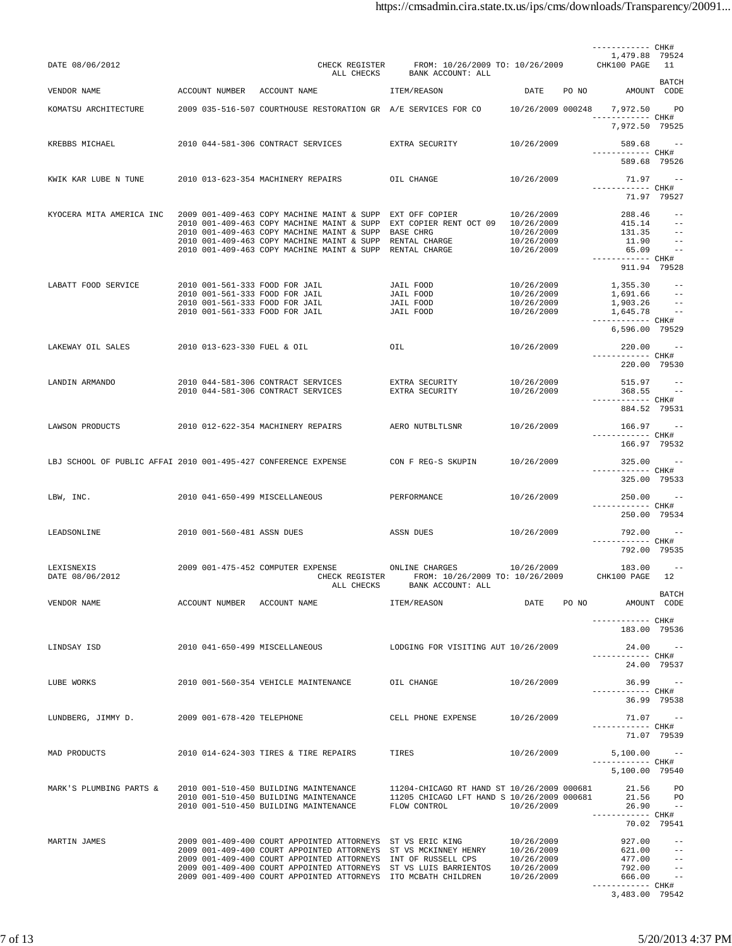|                                                                |                                                                  |                                                                                                                               |                                                                        |                          | ----------- CHK#                    |                                 |
|----------------------------------------------------------------|------------------------------------------------------------------|-------------------------------------------------------------------------------------------------------------------------------|------------------------------------------------------------------------|--------------------------|-------------------------------------|---------------------------------|
| DATE 08/06/2012                                                |                                                                  | CHECK REGISTER<br>ALL CHECKS                                                                                                  | FROM: 10/26/2009 TO: 10/26/2009<br>BANK ACCOUNT: ALL                   |                          | 1,479.88 79524<br>CHK100 PAGE 11    |                                 |
| VENDOR NAME                                                    | ACCOUNT NUMBER ACCOUNT NAME                                      |                                                                                                                               | ITEM/REASON                                                            | DATE                     | PO NO<br>AMOUNT CODE                | BATCH                           |
| KOMATSU ARCHITECTURE                                           |                                                                  | 2009 035-516-507 COURTHOUSE RESTORATION GR A/E SERVICES FOR CO 10/26/2009 000248                                              |                                                                        |                          | 7,972.50                            | <b>PO</b>                       |
|                                                                |                                                                  |                                                                                                                               |                                                                        |                          | ------------ CHK#<br>7,972.50 79525 |                                 |
| KREBBS MICHAEL                                                 |                                                                  | 2010 044-581-306 CONTRACT SERVICES                                                                                            | EXTRA SECURITY                                                         | 10/26/2009               | 589.68                              | $\sim$ $-$                      |
|                                                                |                                                                  |                                                                                                                               |                                                                        |                          | ------------ CHK#<br>589.68 79526   |                                 |
| KWIK KAR LUBE N TUNE                                           |                                                                  | 2010 013-623-354 MACHINERY REPAIRS                                                                                            | OIL CHANGE                                                             | 10/26/2009               | 71.97 --                            |                                 |
|                                                                |                                                                  |                                                                                                                               |                                                                        |                          | ------------ CHK#                   | 71.97 79527                     |
| KYOCERA MITA AMERICA INC                                       |                                                                  | 2009 001-409-463 COPY MACHINE MAINT & SUPP EXT OFF COPIER                                                                     |                                                                        | 10/26/2009               | 288.46                              | $ -$                            |
|                                                                |                                                                  | 2010 001-409-463 COPY MACHINE MAINT & SUPP<br>2010 001-409-463 COPY MACHINE MAINT & SUPP BASE CHRG                            | EXT COPIER RENT OCT 09 10/26/2009                                      | 10/26/2009               | $415.14 - -$<br>131.35              | $\sim$ $-$                      |
|                                                                |                                                                  | 2010 001-409-463 COPY MACHINE MAINT & SUPP RENTAL CHARGE                                                                      |                                                                        | 10/26/2009               | 11.90                               | $\sim$ $-$                      |
|                                                                |                                                                  | 2010 001-409-463 COPY MACHINE MAINT & SUPP RENTAL CHARGE                                                                      |                                                                        | 10/26/2009               | 65.09<br>------------ CHK#          | $\sim$ $-$                      |
|                                                                |                                                                  |                                                                                                                               |                                                                        |                          | 911.94 79528                        |                                 |
| LABATT FOOD SERVICE                                            | 2010 001-561-333 FOOD FOR JAIL                                   |                                                                                                                               | JAIL FOOD                                                              | 10/26/2009               | 1,355.30                            |                                 |
|                                                                | 2010 001-561-333 FOOD FOR JAIL<br>2010 001-561-333 FOOD FOR JAIL |                                                                                                                               | JAIL FOOD<br>JAIL FOOD                                                 | 10/26/2009<br>10/26/2009 | 1,691.66<br>1,903.26                | $- -$<br>$\sim$ $-$             |
|                                                                | 2010 001-561-333 FOOD FOR JAIL                                   |                                                                                                                               | JAIL FOOD                                                              | 10/26/2009               | $1,645.78$ --                       |                                 |
|                                                                |                                                                  |                                                                                                                               |                                                                        |                          | ------------ CHK#<br>6,596.00 79529 |                                 |
| LAKEWAY OIL SALES                                              | 2010 013-623-330 FUEL & OIL                                      |                                                                                                                               | OIL                                                                    | 10/26/2009               | 220.00 --                           |                                 |
|                                                                |                                                                  |                                                                                                                               |                                                                        |                          | ------------ CHK#<br>220.00 79530   |                                 |
| LANDIN ARMANDO                                                 |                                                                  | 2010 044-581-306 CONTRACT SERVICES                                                                                            | EXTRA SECURITY                                                         | 10/26/2009               | 515.97                              | $\sim$ $-$                      |
|                                                                |                                                                  | 2010 044-581-306 CONTRACT SERVICES                                                                                            | EXTRA SECURITY                                                         | 10/26/2009               | 368.55                              | $\sim$ $-$                      |
|                                                                |                                                                  |                                                                                                                               |                                                                        |                          | ----------- CHK#<br>884.52 79531    |                                 |
| LAWSON PRODUCTS                                                |                                                                  | 2010 012-622-354 MACHINERY REPAIRS                                                                                            | AERO NUTBLTLSNR                                                        | 10/26/2009               | $166.97 - -$                        |                                 |
|                                                                |                                                                  |                                                                                                                               |                                                                        |                          | ------------ CHK#<br>166.97 79532   |                                 |
| LBJ SCHOOL OF PUBLIC AFFAI 2010 001-495-427 CONFERENCE EXPENSE |                                                                  |                                                                                                                               | CON F REG-S SKUPIN                                                     | 10/26/2009               | $325.00 - -$                        |                                 |
|                                                                |                                                                  |                                                                                                                               |                                                                        |                          | ------------ CHK#<br>325.00 79533   |                                 |
| LBW, INC.                                                      | 2010 041-650-499 MISCELLANEOUS                                   |                                                                                                                               | PERFORMANCE                                                            | 10/26/2009               | 250.00                              | $\sim$ $-$                      |
|                                                                |                                                                  |                                                                                                                               |                                                                        |                          | ------------ CHK#                   |                                 |
|                                                                |                                                                  |                                                                                                                               |                                                                        |                          | 250.00 79534                        |                                 |
| LEADSONLINE                                                    | 2010 001-560-481 ASSN DUES                                       |                                                                                                                               | ASSN DUES                                                              | 10/26/2009               | 792.00<br>----------- CHK#          | $\sim$ $-$                      |
|                                                                |                                                                  |                                                                                                                               |                                                                        |                          | 792.00 79535                        |                                 |
| LEXISNEXIS<br>DATE 08/06/2012                                  |                                                                  | 2009 001-475-452 COMPUTER EXPENSE<br>CHECK REGISTER<br>ALL CHECKS                                                             | ONLINE CHARGES<br>FROM: 10/26/2009 TO: 10/26/2009<br>BANK ACCOUNT: ALL | 10/26/2009               | 183.00<br>CHK100 PAGE               | $\sim$ $-$<br>12                |
| VENDOR NAME                                                    | ACCOUNT NUMBER ACCOUNT NAME                                      |                                                                                                                               | ITEM/REASON                                                            | DATE                     | PO NO                               | BATCH<br>AMOUNT CODE            |
|                                                                |                                                                  |                                                                                                                               |                                                                        |                          | ------------ CHK#                   |                                 |
|                                                                |                                                                  |                                                                                                                               |                                                                        |                          | 183.00 79536                        |                                 |
| LINDSAY ISD                                                    | 2010 041-650-499 MISCELLANEOUS                                   |                                                                                                                               | LODGING FOR VISITING AUT 10/26/2009                                    |                          |                                     | $24.00 - -$                     |
|                                                                |                                                                  |                                                                                                                               |                                                                        |                          | ----------- CHK#                    | 24.00 79537                     |
| LUBE WORKS                                                     |                                                                  | 2010 001-560-354 VEHICLE MAINTENANCE                                                                                          | OIL CHANGE                                                             | 10/26/2009               |                                     | $36.99 - -$                     |
|                                                                |                                                                  |                                                                                                                               |                                                                        |                          | ------------ CHK#<br>36.99 79538    |                                 |
|                                                                |                                                                  |                                                                                                                               |                                                                        |                          |                                     |                                 |
| LUNDBERG, JIMMY D.                                             | 2009 001-678-420 TELEPHONE                                       |                                                                                                                               | CELL PHONE EXPENSE                                                     | 10/26/2009               | ------------ CHK#                   | $71.07 - -$                     |
|                                                                |                                                                  |                                                                                                                               |                                                                        |                          |                                     | 71.07 79539                     |
| MAD PRODUCTS                                                   |                                                                  | 2010 014-624-303 TIRES & TIRE REPAIRS                                                                                         | TIRES                                                                  | 10/26/2009               | $5,100.00 - -$<br>----------- CHK#  |                                 |
|                                                                |                                                                  |                                                                                                                               |                                                                        |                          | 5,100.00 79540                      |                                 |
| MARK'S PLUMBING PARTS &                                        |                                                                  | 2010 001-510-450 BUILDING MAINTENANCE                                                                                         | 11204-CHICAGO RT HAND ST 10/26/2009 000681                             |                          | 21.56                               | <b>PO</b>                       |
|                                                                |                                                                  | 2010 001-510-450 BUILDING MAINTENANCE<br>2010 001-510-450 BUILDING MAINTENANCE                                                | 11205 CHICAGO LFT HAND S 10/26/2009 000681<br>FLOW CONTROL             | 10/26/2009               | 21.56<br>26.90                      | - PO<br>$\sim$ $-$              |
|                                                                |                                                                  |                                                                                                                               |                                                                        |                          | ----------- CHK#                    | 70.02 79541                     |
|                                                                |                                                                  |                                                                                                                               |                                                                        |                          |                                     |                                 |
| MARTIN JAMES                                                   |                                                                  | 2009 001-409-400 COURT APPOINTED ATTORNEYS ST VS ERIC KING<br>2009 001-409-400 COURT APPOINTED ATTORNEYS ST VS MCKINNEY HENRY |                                                                        | 10/26/2009<br>10/26/2009 | 927.00<br>621.00                    | $ -$<br>$\sim$ $-$              |
|                                                                |                                                                  | 2009 001-409-400 COURT APPOINTED ATTORNEYS INT OF RUSSELL CPS                                                                 |                                                                        | 10/26/2009               | 477.00                              | $\qquad \qquad -$               |
|                                                                |                                                                  | 2009 001-409-400 COURT APPOINTED ATTORNEYS<br>2009 001-409-400 COURT APPOINTED ATTORNEYS ITO MCBATH CHILDREN                  | ST VS LUIS BARRIENTOS                                                  | 10/26/2009<br>10/26/2009 | 792.00<br>666.00                    | $\qquad \qquad -$<br>$\sim$ $-$ |
|                                                                |                                                                  |                                                                                                                               |                                                                        |                          | ----------- CHK#                    |                                 |
|                                                                |                                                                  |                                                                                                                               |                                                                        |                          | 3,483.00 79542                      |                                 |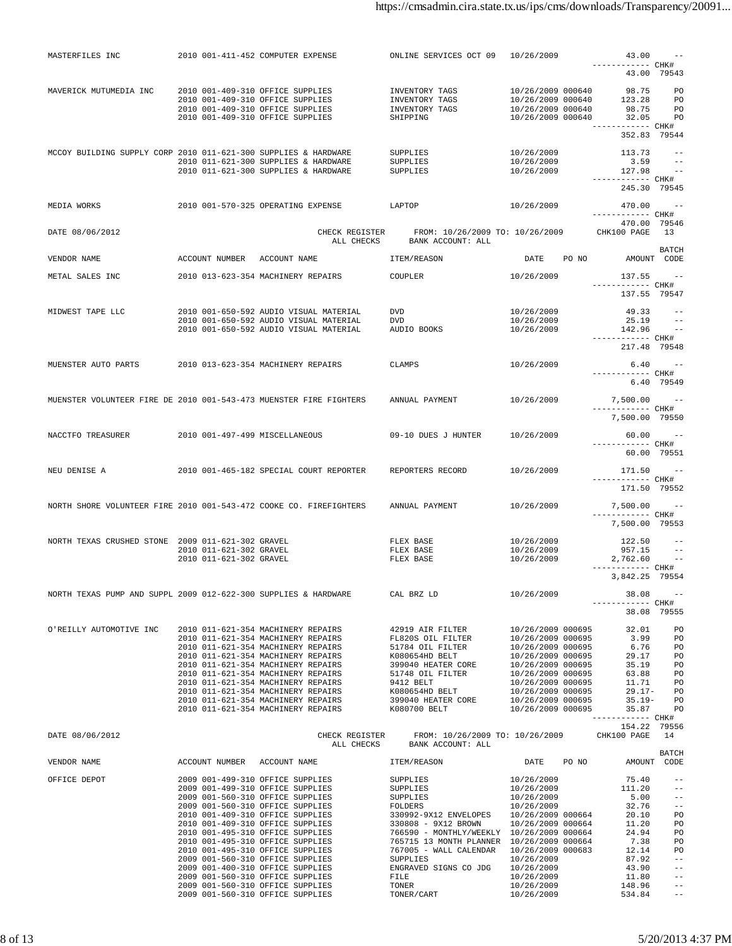| MASTERFILES INC                                                    |                                  | 2010 001-411-452 COMPUTER EXPENSE                                                                                                                                                                                                                                                                                                                              | ONLINE SERVICES OCT 09 10/26/2009                             |                             | 43.00                               |                         |
|--------------------------------------------------------------------|----------------------------------|----------------------------------------------------------------------------------------------------------------------------------------------------------------------------------------------------------------------------------------------------------------------------------------------------------------------------------------------------------------|---------------------------------------------------------------|-----------------------------|-------------------------------------|-------------------------|
|                                                                    |                                  |                                                                                                                                                                                                                                                                                                                                                                |                                                               |                             | ------------ CHK#<br>43.00 79543    |                         |
| MAVERICK MUTUMEDIA INC                                             | 2010 001-409-310 OFFICE SUPPLIES |                                                                                                                                                                                                                                                                                                                                                                | INVENTORY TAGS                                                | 10/26/2009 000640           | 98.75                               | PO                      |
|                                                                    |                                  | 2010 001-409-310 OFFICE SUPPLIES                                                                                                                                                                                                                                                                                                                               | INVENTORY TAGS                                                | 10/26/2009 000640 123.28 PO |                                     |                         |
|                                                                    | 2010 001-409-310 OFFICE SUPPLIES |                                                                                                                                                                                                                                                                                                                                                                | INVENTORY TAGS                                                | 10/26/2009 000640           | 98.75 PO                            |                         |
|                                                                    | 2010 001-409-310 OFFICE SUPPLIES |                                                                                                                                                                                                                                                                                                                                                                | SHIPPING                                                      | 10/26/2009 000640           | 32.05 PO<br>------------ CHK#       |                         |
|                                                                    |                                  |                                                                                                                                                                                                                                                                                                                                                                |                                                               |                             | 352.83 79544                        |                         |
| MCCOY BUILDING SUPPLY CORP 2010 011-621-300 SUPPLIES & HARDWARE    |                                  |                                                                                                                                                                                                                                                                                                                                                                | SUPPLIES                                                      | 10/26/2009                  | $113.73 - -$                        |                         |
|                                                                    |                                  | 2010 011-621-300 SUPPLIES & HARDWARE                                                                                                                                                                                                                                                                                                                           | SUPPLIES                                                      | 10/26/2009                  | $3.59 - -$                          |                         |
|                                                                    |                                  | 2010 011-621-300 SUPPLIES & HARDWARE                                                                                                                                                                                                                                                                                                                           | SUPPLIES                                                      | 10/26/2009                  | 127.98<br>------------ CHK#         |                         |
|                                                                    |                                  |                                                                                                                                                                                                                                                                                                                                                                |                                                               |                             | 245.30 79545                        |                         |
| MEDIA WORKS                                                        |                                  | 2010 001-570-325 OPERATING EXPENSE LAPTOP                                                                                                                                                                                                                                                                                                                      |                                                               | 10/26/2009                  | $470.00 - -$                        |                         |
|                                                                    |                                  |                                                                                                                                                                                                                                                                                                                                                                |                                                               |                             | ----------- CHK#                    |                         |
| DATE 08/06/2012                                                    |                                  | CHECK REGISTER                                                                                                                                                                                                                                                                                                                                                 | FROM: 10/26/2009 TO: 10/26/2009                               |                             | 470.00 79546<br>CHK100 PAGE 13      |                         |
|                                                                    |                                  |                                                                                                                                                                                                                                                                                                                                                                | ALL CHECKS BANK ACCOUNT: ALL                                  |                             |                                     |                         |
| VENDOR NAME                                                        | ACCOUNT NUMBER ACCOUNT NAME      |                                                                                                                                                                                                                                                                                                                                                                | ITEM/REASON                                                   | DATE PO NO                  | AMOUNT CODE                         | BATCH                   |
|                                                                    |                                  |                                                                                                                                                                                                                                                                                                                                                                |                                                               |                             |                                     |                         |
| METAL SALES INC                                                    |                                  | 2010 013-623-354 MACHINERY REPAIRS                                                                                                                                                                                                                                                                                                                             | COUPLER                                                       | 10/26/2009                  | $137.55 - -$<br>------------ CHK#   |                         |
|                                                                    |                                  |                                                                                                                                                                                                                                                                                                                                                                |                                                               |                             | 137.55 79547                        |                         |
|                                                                    |                                  | 2010 001-650-592 AUDIO VISUAL MATERIAL                                                                                                                                                                                                                                                                                                                         |                                                               |                             | $49.33 - -$                         |                         |
| MIDWEST TAPE LLC                                                   |                                  | 2010 001-650-592 AUDIO VISUAL MATERIAL                                                                                                                                                                                                                                                                                                                         | DVD<br>DVD                                                    | 10/26/2009<br>10/26/2009    | 25.19                               | $\sim$ $-$              |
|                                                                    |                                  | 2010 001-650-592 AUDIO VISUAL MATERIAL                                                                                                                                                                                                                                                                                                                         | AUDIO BOOKS                                                   | 10/26/2009                  | $142.96 -$                          |                         |
|                                                                    |                                  |                                                                                                                                                                                                                                                                                                                                                                |                                                               |                             | ------------ CHK#<br>217.48 79548   |                         |
|                                                                    |                                  |                                                                                                                                                                                                                                                                                                                                                                |                                                               |                             |                                     |                         |
| MUENSTER AUTO PARTS                                                |                                  | 2010 013-623-354 MACHINERY REPAIRS                                                                                                                                                                                                                                                                                                                             | CLAMPS                                                        | 10/26/2009                  |                                     | $6.40 - -$              |
|                                                                    |                                  |                                                                                                                                                                                                                                                                                                                                                                |                                                               |                             | ------------ CHK#<br>6.40 79549     |                         |
|                                                                    |                                  |                                                                                                                                                                                                                                                                                                                                                                |                                                               |                             |                                     |                         |
| MUENSTER VOLUNTEER FIRE DE 2010 001-543-473 MUENSTER FIRE FIGHTERS |                                  |                                                                                                                                                                                                                                                                                                                                                                | ANNUAL PAYMENT                                                | 10/26/2009                  | $7,500.00$ --<br>------------ CHK#  |                         |
|                                                                    |                                  |                                                                                                                                                                                                                                                                                                                                                                |                                                               |                             | 7,500.00 79550                      |                         |
| NACCTFO TREASURER                                                  | 2010 001-497-499 MISCELLANEOUS   |                                                                                                                                                                                                                                                                                                                                                                | 09-10 DUES J HUNTER                                           | 10/26/2009                  | 60.00 --                            |                         |
|                                                                    |                                  |                                                                                                                                                                                                                                                                                                                                                                |                                                               |                             | ------------ CHK#                   |                         |
|                                                                    |                                  |                                                                                                                                                                                                                                                                                                                                                                |                                                               |                             | 60.00 79551                         |                         |
| NEU DENISE A                                                       |                                  | 2010 001-465-182 SPECIAL COURT REPORTER                                                                                                                                                                                                                                                                                                                        | REPORTERS RECORD                                              | 10/26/2009                  | 171.50 --                           |                         |
|                                                                    |                                  |                                                                                                                                                                                                                                                                                                                                                                |                                                               |                             | ----------- CHK#                    |                         |
|                                                                    |                                  |                                                                                                                                                                                                                                                                                                                                                                |                                                               |                             | 171.50 79552                        |                         |
| NORTH SHORE VOLUNTEER FIRE 2010 001-543-472 COOKE CO. FIREFIGHTERS |                                  |                                                                                                                                                                                                                                                                                                                                                                | ANNUAL PAYMENT                                                | 10/26/2009                  | 7,500.00 --                         |                         |
|                                                                    |                                  |                                                                                                                                                                                                                                                                                                                                                                |                                                               |                             | ------------ CHK#<br>7,500.00 79553 |                         |
|                                                                    |                                  |                                                                                                                                                                                                                                                                                                                                                                |                                                               |                             |                                     |                         |
| NORTH TEXAS CRUSHED STONE 2009 011-621-302 GRAVEL                  | 2010 011-621-302 GRAVEL          |                                                                                                                                                                                                                                                                                                                                                                | FLEX BASE<br>FLEX BASE                                        | 10/26/2009<br>10/26/2009    | 122.50<br>957.15                    | $ -$                    |
|                                                                    | 2010 011-621-302 GRAVEL          |                                                                                                                                                                                                                                                                                                                                                                | FLEX BASE                                                     | 10/26/2009                  | 2,762.60 --                         |                         |
|                                                                    |                                  |                                                                                                                                                                                                                                                                                                                                                                |                                                               |                             | ------------ CHK#                   |                         |
|                                                                    |                                  |                                                                                                                                                                                                                                                                                                                                                                |                                                               |                             | 3,842.25 79554                      |                         |
|                                                                    |                                  | NORTH TEXAS PUMP AND SUPPL 2009 012-622-300 SUPPLIES & HARDWARE                                                                                                                                                                                                                                                                                                | CAL BRZ LD                                                    | 10/26/2009                  | 38.08                               |                         |
|                                                                    |                                  |                                                                                                                                                                                                                                                                                                                                                                |                                                               |                             | ----------- CHK#<br>38.08 79555     |                         |
|                                                                    |                                  |                                                                                                                                                                                                                                                                                                                                                                |                                                               |                             |                                     |                         |
| O'REILLY AUTOMOTIVE INC                                            |                                  |                                                                                                                                                                                                                                                                                                                                                                |                                                               |                             |                                     |                         |
|                                                                    |                                  |                                                                                                                                                                                                                                                                                                                                                                |                                                               |                             |                                     |                         |
|                                                                    |                                  |                                                                                                                                                                                                                                                                                                                                                                |                                                               |                             |                                     |                         |
|                                                                    |                                  |                                                                                                                                                                                                                                                                                                                                                                |                                                               |                             |                                     |                         |
|                                                                    |                                  |                                                                                                                                                                                                                                                                                                                                                                |                                                               |                             |                                     |                         |
|                                                                    |                                  |                                                                                                                                                                                                                                                                                                                                                                |                                                               |                             |                                     |                         |
|                                                                    |                                  |                                                                                                                                                                                                                                                                                                                                                                |                                                               |                             |                                     |                         |
|                                                                    |                                  |                                                                                                                                                                                                                                                                                                                                                                |                                                               |                             | ------------ CHK#<br>154.22 79556   |                         |
| DATE 08/06/2012                                                    |                                  |                                                                                                                                                                                                                                                                                                                                                                | CHECK REGISTER FROM: 10/26/2009 TO: 10/26/2009 CHK100 PAGE 14 |                             |                                     |                         |
|                                                                    |                                  |                                                                                                                                                                                                                                                                                                                                                                | ALL CHECKS BANK ACCOUNT: ALL                                  |                             |                                     |                         |
|                                                                    |                                  |                                                                                                                                                                                                                                                                                                                                                                |                                                               |                             |                                     | BATCH                   |
|                                                                    |                                  |                                                                                                                                                                                                                                                                                                                                                                |                                                               |                             |                                     |                         |
|                                                                    |                                  | $\begin{tabular}{l c c c c c c c c} \hline \texttt{OFFICE DEPOT} & 2009 & 001-499-310 & \texttt{OFFICE SUPPLIES} & \texttt{SUPPLIES} & 10/26/2009 & 75.40 \\ \hline 2009 & 001-560-310 & \texttt{OFFICE SUPPLIES} & \texttt{SUPPLIES} & 10/26/2009 & 111.20 \\ \hline 2009 & 001-560-310 & \texttt{OPTICE SUPPLIES} & \texttt{FOLDERS} & 10/26/2009 & 5.00 \\$ |                                                               |                             | $111.20 - -$                        | $- \, -$                |
|                                                                    |                                  |                                                                                                                                                                                                                                                                                                                                                                |                                                               |                             |                                     | $\pm$ $\pm$             |
|                                                                    |                                  |                                                                                                                                                                                                                                                                                                                                                                |                                                               |                             |                                     | $--$                    |
|                                                                    |                                  |                                                                                                                                                                                                                                                                                                                                                                |                                                               |                             |                                     | PO<br>PO                |
|                                                                    |                                  |                                                                                                                                                                                                                                                                                                                                                                |                                                               |                             |                                     | PO                      |
|                                                                    |                                  |                                                                                                                                                                                                                                                                                                                                                                |                                                               |                             |                                     | <b>PO</b>               |
|                                                                    |                                  |                                                                                                                                                                                                                                                                                                                                                                |                                                               |                             |                                     | PO<br>$\equiv$ $\equiv$ |
|                                                                    |                                  | 2009 001-400-310 OFFICE SUPPLIES                                                                                                                                                                                                                                                                                                                               | ENGRAVED SIGNS CO JDG 10/26/2009                              |                             | 43.90                               | $- \, -$                |
|                                                                    |                                  | 2009 001-560-310 OFFICE SUPPLIES                                                                                                                                                                                                                                                                                                                               | FILE 10/26/2009                                               |                             | 11.80                               | $- \, -$                |
|                                                                    |                                  | 2009 001-560-310 OFFICE SUPPLIES<br>2009 001-560-310 OFFICE SUPPLIES                                                                                                                                                                                                                                                                                           | TONER<br>TONER/CART 10/26/2009                                | 10/26/2009                  | 148.96<br>534.84                    |                         |
|                                                                    |                                  |                                                                                                                                                                                                                                                                                                                                                                |                                                               |                             |                                     |                         |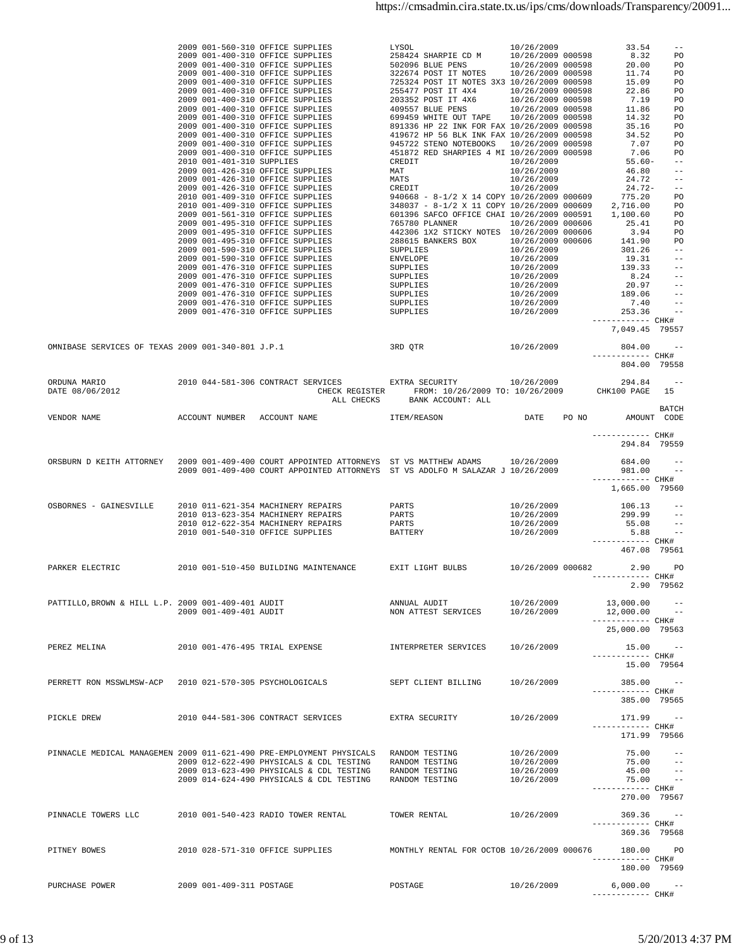| OMNIBASE SERVICES OF TEXAS 2009 001-340-801 J.P.1                    |                          |                                                                                                                                                                                                                                         |                                                           |                                                      |                                                                                                                |                      |
|----------------------------------------------------------------------|--------------------------|-----------------------------------------------------------------------------------------------------------------------------------------------------------------------------------------------------------------------------------------|-----------------------------------------------------------|------------------------------------------------------|----------------------------------------------------------------------------------------------------------------|----------------------|
|                                                                      |                          |                                                                                                                                                                                                                                         |                                                           |                                                      | 804.00 79558                                                                                                   |                      |
|                                                                      |                          |                                                                                                                                                                                                                                         | ALL CHECKS BANK ACCOUNT: ALL                              |                                                      |                                                                                                                |                      |
|                                                                      |                          |                                                                                                                                                                                                                                         |                                                           |                                                      | ------------ CHK#<br>294.84 79559                                                                              |                      |
|                                                                      |                          | ORSBURN D KEITH ATTORNEY 2009 001-409-400 COURT APPOINTED ATTORNEYS ST VS MATTHEW ADAMS 10/26/2009<br>2009 001-409-400 COURT APPOINTED ATTORNEYS ST VS ADOLFO M SALAZAR J 10/26/2009                                                    |                                                           |                                                      | $684.00 - -$<br>$981.00 - -$<br>------------ CHK#                                                              |                      |
|                                                                      |                          | 0SBORNES - GAINESVILLE 2010 011-621-354 MACHINERY REPAIRS PARTS 10/26/2009<br>2010 013-623-354 MACHINERY REPAIRS PARTS 10/26/2009<br>2010 012-622-354 MACHINERY REPAIRS PARTS 10/26/2009<br>2010 001-540-310 OFFICE SUPPLIES BATTERY 10 |                                                           |                                                      | 1,665.00 79560<br>$106.13 - -$<br>$299.99$ --<br>$55.08$ --<br>$5.88 - -$<br>------------ CHK#<br>467.08 79561 |                      |
| PARKER ELECTRIC                                                      |                          | 2010 001-510-450 BUILDING MAINTENANCE BXIT LIGHT BULBS 10/26/2009 000682 2.90 PO                                                                                                                                                        |                                                           |                                                      | ------------ CHK#                                                                                              | 2.90 79562           |
| PATTILLO, BROWN & HILL L.P. 2009 001-409-401 AUDIT                   | 2009 001-409-401 AUDIT   |                                                                                                                                                                                                                                         | ANNUAL AUDIT 10/26/2009<br>NON ATTEST SERVICES 10/26/2009 |                                                      | $13,000.00$ --<br>$12,000.00$ --<br>------------ CHK#<br>25,000.00 79563                                       |                      |
| PEREZ MELINA                                                         |                          | 2010 001-476-495 TRIAL EXPENSE                                                                                                                                                                                                          | INTERPRETER SERVICES                                      | 10/26/2009                                           | $15.00 - -$<br>----------- CHK#<br>15.00 79564                                                                 |                      |
| PERRETT RON MSSWLMSW-ACP                                             |                          | 2010 021-570-305 PSYCHOLOGICALS                                                                                                                                                                                                         | SEPT CLIENT BILLING                                       | 10/26/2009                                           | $385.00 - -$<br>------------ CHK#<br>385.00 79565                                                              |                      |
| PICKLE DREW                                                          |                          | 2010 044-581-306 CONTRACT SERVICES                                                                                                                                                                                                      | EXTRA SECURITY                                            | 10/26/2009                                           | $171.99 - -$<br>------------ CHK#<br>171.99 79566                                                              |                      |
| PINNACLE MEDICAL MANAGEMEN 2009 011-621-490 PRE-EMPLOYMENT PHYSICALS |                          | 2009 012-622-490 PHYSICALS & CDL TESTING RANDOM TESTING<br>2009 013-623-490 PHYSICALS & CDL TESTING RANDOM TESTING<br>2009 014-624-490 PHYSICALS & CDL TESTING                                                                          | RANDOM TESTING<br>RANDOM TESTING                          | 10/26/2009<br>10/26/2009<br>10/26/2009<br>10/26/2009 | 75.00<br>$75.00 - -$<br>45.00<br>$75.00 - -$                                                                   | $\sim$ $ -$<br>$- -$ |
| PINNACLE TOWERS LLC                                                  |                          | 2010 001-540-423 RADIO TOWER RENTAL                                                                                                                                                                                                     | TOWER RENTAL                                              | 10/26/2009                                           | ------------ CHK#<br>270.00 79567<br>369.36<br>----------- CHK#                                                | $\sim$ $-$           |
| PITNEY BOWES                                                         |                          | 2010 028-571-310 OFFICE SUPPLIES                                                                                                                                                                                                        | MONTHLY RENTAL FOR OCTOB 10/26/2009 000676                |                                                      | 369.36 79568<br>180.00 PO<br>----------- CHK#                                                                  |                      |
| PURCHASE POWER                                                       | 2009 001-409-311 POSTAGE |                                                                                                                                                                                                                                         | POSTAGE                                                   | 10/26/2009                                           | 180.00 79569<br>6,000.00<br>------------ CHK#                                                                  | $\sim$ $-$           |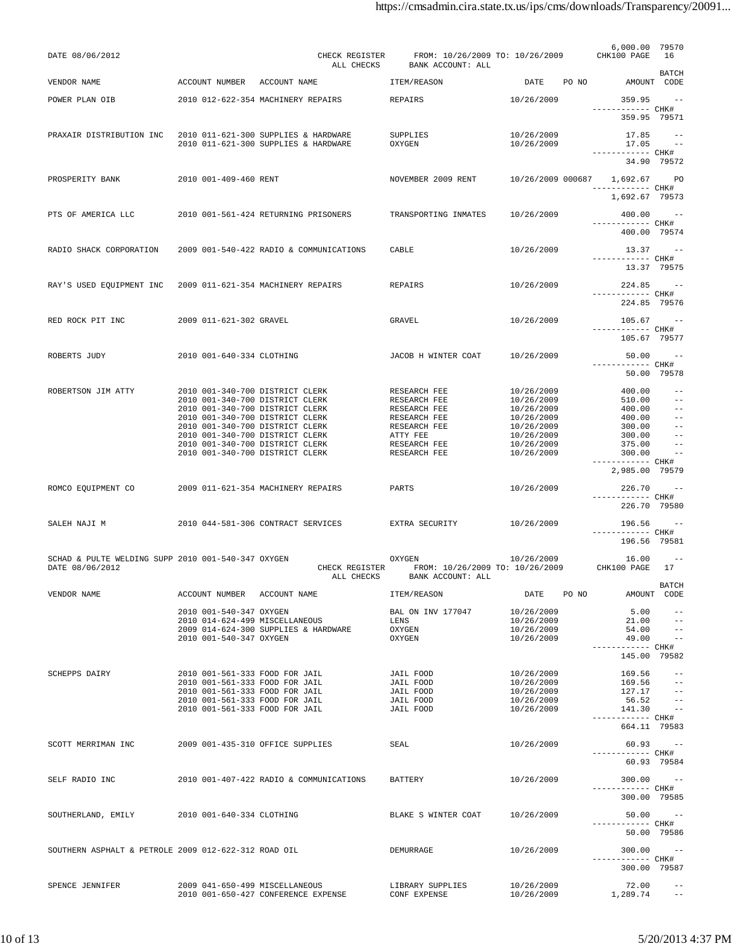| DATE 08/06/2012                                      |                           | CHECK REGISTER<br>ALL CHECKS                                       | FROM: 10/26/2009 TO: 10/26/2009<br>BANK ACCOUNT: ALL |                               |       | 6,000.00 79570<br>CHK100 PAGE     | 16                  |
|------------------------------------------------------|---------------------------|--------------------------------------------------------------------|------------------------------------------------------|-------------------------------|-------|-----------------------------------|---------------------|
| VENDOR NAME                                          | ACCOUNT NUMBER            | ACCOUNT NAME                                                       | ITEM/REASON                                          | DATE                          | PO NO | AMOUNT CODE                       | <b>BATCH</b>        |
| POWER PLAN OIB                                       |                           | 2010 012-622-354 MACHINERY REPAIRS                                 | REPAIRS                                              | 10/26/2009                    |       | 359.95                            | $\sim$ $-$          |
|                                                      |                           |                                                                    |                                                      |                               |       | ----------- CHK#<br>359.95 79571  |                     |
| PRAXAIR DISTRIBUTION INC                             |                           | 2010 011-621-300 SUPPLIES & HARDWARE                               | SUPPLIES                                             | 10/26/2009                    |       | 17.85                             | $\sim$ $-$          |
|                                                      |                           | 2010 011-621-300 SUPPLIES & HARDWARE                               | OXYGEN                                               | 10/26/2009                    |       | 17.05                             | $ -$                |
|                                                      |                           |                                                                    |                                                      |                               |       | ------------ CHK#<br>34.90 79572  |                     |
| PROSPERITY BANK                                      | 2010 001-409-460 RENT     |                                                                    | NOVEMBER 2009 RENT                                   | 10/26/2009 000687 1,692.67 PO |       |                                   |                     |
|                                                      |                           |                                                                    |                                                      |                               |       | ------------ CHK#                 |                     |
|                                                      |                           |                                                                    |                                                      |                               |       | 1,692.67 79573                    |                     |
| PTS OF AMERICA LLC                                   |                           | 2010 001-561-424 RETURNING PRISONERS                               | TRANSPORTING INMATES                                 | 10/26/2009                    |       | 400.00<br>------------ CHK#       | $\sim$ $-$          |
|                                                      |                           |                                                                    |                                                      |                               |       | 400.00 79574                      |                     |
| RADIO SHACK CORPORATION                              |                           | 2009 001-540-422 RADIO & COMMUNICATIONS                            | CABLE                                                | 10/26/2009                    |       | $13.37 - -$                       |                     |
|                                                      |                           |                                                                    |                                                      |                               |       | ----------- CHK#<br>13.37 79575   |                     |
|                                                      |                           |                                                                    |                                                      |                               |       |                                   |                     |
| RAY'S USED EOUIPMENT INC                             |                           | 2009 011-621-354 MACHINERY REPAIRS                                 | REPAIRS                                              | 10/26/2009                    |       | 224.85<br>------------ CHK#       | $\sim$ $-$          |
|                                                      |                           |                                                                    |                                                      |                               |       | 224.85 79576                      |                     |
| RED ROCK PIT INC                                     | 2009 011-621-302 GRAVEL   |                                                                    | <b>GRAVEL</b>                                        | 10/26/2009                    |       | 105.67                            | $\sim$ $-$          |
|                                                      |                           |                                                                    |                                                      |                               |       | ------------ CHK#<br>105.67 79577 |                     |
|                                                      |                           |                                                                    |                                                      |                               |       |                                   |                     |
| ROBERTS JUDY                                         | 2010 001-640-334 CLOTHING |                                                                    | JACOB H WINTER COAT                                  | 10/26/2009                    |       | 50.00<br>----------- CHK#         | $ -$                |
|                                                      |                           |                                                                    |                                                      |                               |       | 50.00 79578                       |                     |
| ROBERTSON JIM ATTY                                   |                           | 2010 001-340-700 DISTRICT CLERK                                    | RESEARCH FEE                                         | 10/26/2009                    |       | 400.00                            | $ -$                |
|                                                      |                           | 2010 001-340-700 DISTRICT CLERK                                    | RESEARCH FEE                                         | 10/26/2009                    |       | 510.00                            | $ -$                |
|                                                      |                           | 2010 001-340-700 DISTRICT CLERK<br>2010 001-340-700 DISTRICT CLERK | RESEARCH FEE<br>RESEARCH FEE                         | 10/26/2009<br>10/26/2009      |       | 400.00<br>400.00                  | $- -$<br>$ -$       |
|                                                      |                           | 2010 001-340-700 DISTRICT CLERK                                    | RESEARCH FEE                                         | 10/26/2009                    |       | 300.00                            | $- -$               |
|                                                      |                           | 2010 001-340-700 DISTRICT CLERK                                    | ATTY FEE                                             | 10/26/2009                    |       | 300.00                            | $- -$               |
|                                                      |                           | 2010 001-340-700 DISTRICT CLERK                                    | RESEARCH FEE                                         | 10/26/2009                    |       | 375.00                            | $\qquad \qquad -$   |
|                                                      |                           | 2010 001-340-700 DISTRICT CLERK                                    | RESEARCH FEE                                         | 10/26/2009                    |       | 300.00<br>------------ CHK#       | $-$                 |
|                                                      |                           |                                                                    |                                                      |                               |       | 2,985.00 79579                    |                     |
| ROMCO EQUIPMENT CO                                   |                           | 2009 011-621-354 MACHINERY REPAIRS                                 | PARTS                                                | 10/26/2009                    |       | 226.70                            | $\sim$ $-$          |
|                                                      |                           |                                                                    |                                                      |                               |       | ----------- CHK#<br>226.70 79580  |                     |
|                                                      |                           |                                                                    |                                                      |                               |       |                                   |                     |
| SALEH NAJI M                                         |                           | 2010 044-581-306 CONTRACT SERVICES                                 | EXTRA SECURITY                                       | 10/26/2009                    |       | 196.56<br>------------ CHK#       | $\sim$ $-$          |
|                                                      |                           |                                                                    |                                                      |                               |       | 196.56 79581                      |                     |
| SCHAD & PULTE WELDING SUPP 2010 001-540-347 OXYGEN   |                           |                                                                    | OXYGEN                                               | 10/26/2009                    |       | 16.00                             | $ -$                |
| DATE 08/06/2012                                      |                           | CHECK REGISTER<br>ALL CHECKS                                       | FROM: 10/26/2009 TO: 10/26/2009<br>BANK ACCOUNT: ALL |                               |       | CHK100 PAGE                       | 17                  |
| VENDOR NAME                                          |                           | ACCOUNT NUMBER ACCOUNT NAME                                        | ITEM/REASON                                          | DATE                          | PO NO | AMOUNT CODE                       | <b>BATCH</b>        |
|                                                      | 2010 001-540-347 OXYGEN   |                                                                    | BAL ON INV 177047                                    | 10/26/2009                    |       | 5.00                              | $ -$                |
|                                                      |                           | 2010 014-624-499 MISCELLANEOUS                                     | LENS                                                 | 10/26/2009                    |       | 21.00                             | $ -$                |
|                                                      |                           | 2009 014-624-300 SUPPLIES & HARDWARE                               | OXYGEN                                               | 10/26/2009                    |       | 54.00                             | $ -$                |
|                                                      | 2010 001-540-347 OXYGEN   |                                                                    | OXYGEN                                               | 10/26/2009                    |       | 49.00<br>------------ CHK#        | $\sim$ $-$          |
|                                                      |                           |                                                                    |                                                      |                               |       | 145.00 79582                      |                     |
| <b>SCHEPPS DAIRY</b>                                 |                           | 2010 001-561-333 FOOD FOR JAIL                                     | <b>JAIL FOOD</b>                                     | 10/26/2009                    |       | 169.56                            | $ -$                |
|                                                      |                           | 2010 001-561-333 FOOD FOR JAIL                                     | JAIL FOOD                                            | 10/26/2009                    |       | 169.56                            | $\pm$ $\pm$         |
|                                                      |                           | 2010 001-561-333 FOOD FOR JAIL                                     | JAIL FOOD                                            | 10/26/2009                    |       | $127.17 - -$                      |                     |
|                                                      |                           | 2010 001-561-333 FOOD FOR JAIL<br>2010 001-561-333 FOOD FOR JAIL   | JAIL FOOD<br>JAIL FOOD                               | 10/26/2009<br>10/26/2009      |       | 56.52<br>141.30                   | $- -$<br>$\sim$ $-$ |
|                                                      |                           |                                                                    |                                                      |                               |       | ----------- CHK#<br>664.11 79583  |                     |
| SCOTT MERRIMAN INC                                   |                           | 2009 001-435-310 OFFICE SUPPLIES                                   | SEAL                                                 | 10/26/2009                    |       | $60.93 - -$                       |                     |
|                                                      |                           |                                                                    |                                                      |                               |       | ------------ CHK#                 |                     |
|                                                      |                           |                                                                    |                                                      |                               |       | 60.93 79584                       |                     |
| SELF RADIO INC                                       |                           | 2010 001-407-422 RADIO & COMMUNICATIONS                            | BATTERY                                              | 10/26/2009                    |       | $300.00 - -$                      |                     |
|                                                      |                           |                                                                    |                                                      |                               |       | ----------- CHK#<br>300.00 79585  |                     |
|                                                      |                           |                                                                    |                                                      |                               |       |                                   |                     |
| SOUTHERLAND, EMILY                                   | 2010 001-640-334 CLOTHING |                                                                    | BLAKE S WINTER COAT                                  | 10/26/2009                    |       | $50.00 - -$<br>------------ CHK#  |                     |
|                                                      |                           |                                                                    |                                                      |                               |       | 50.00 79586                       |                     |
| SOUTHERN ASPHALT & PETROLE 2009 012-622-312 ROAD OIL |                           |                                                                    | DEMURRAGE                                            | 10/26/2009                    |       | $300.00 - -$                      |                     |
|                                                      |                           |                                                                    |                                                      |                               |       | ----------- CHK#                  |                     |
|                                                      |                           |                                                                    |                                                      |                               |       | 300.00 79587                      |                     |
| SPENCE JENNIFER                                      |                           | 2009 041-650-499 MISCELLANEOUS                                     | LIBRARY SUPPLIES                                     | 10/26/2009                    |       | 72.00                             | $- -$               |
|                                                      |                           | 2010 001-650-427 CONFERENCE EXPENSE                                | CONF EXPENSE                                         | 10/26/2009                    |       | 1,289.74                          | $- -$               |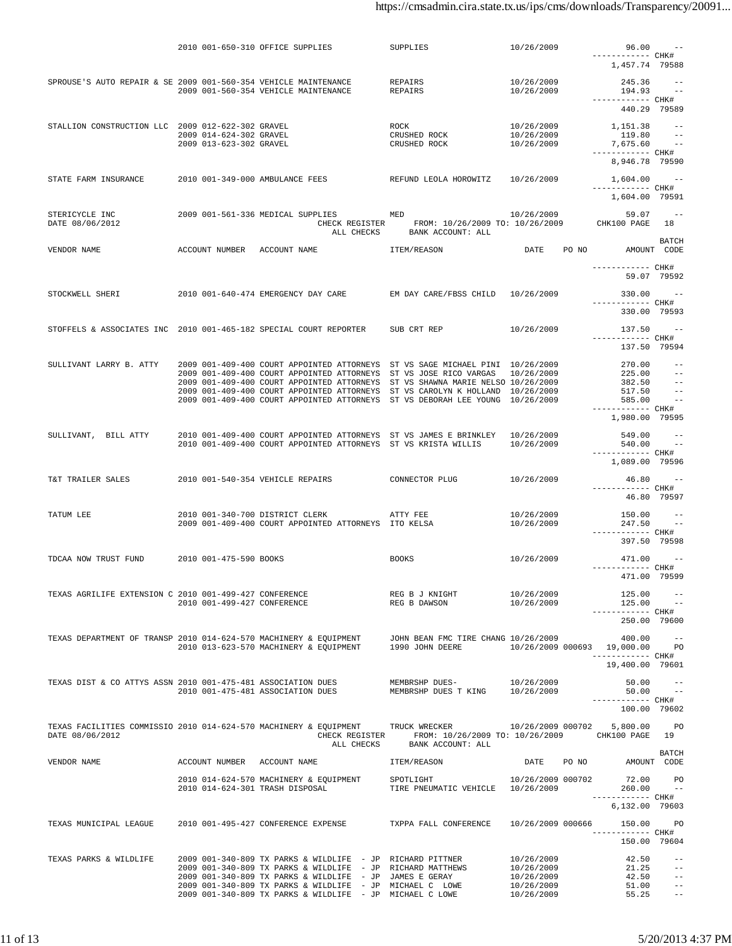|                                                                                                   |                             | 2010 001-650-310 OFFICE SUPPLIES                                                                                                                                                            | SUPPLIES                                                      | 10/26/2009               | 96.00<br>------------ CHK#          |                                   |
|---------------------------------------------------------------------------------------------------|-----------------------------|---------------------------------------------------------------------------------------------------------------------------------------------------------------------------------------------|---------------------------------------------------------------|--------------------------|-------------------------------------|-----------------------------------|
|                                                                                                   |                             |                                                                                                                                                                                             |                                                               |                          | 1,457.74 79588                      |                                   |
| SPROUSE'S AUTO REPAIR & SE 2009 001-560-354 VEHICLE MAINTENANCE                                   |                             |                                                                                                                                                                                             | REPAIRS                                                       | 10/26/2009               | $245.36 - -$                        |                                   |
|                                                                                                   |                             | 2009 001-560-354 VEHICLE MAINTENANCE                                                                                                                                                        | REPAIRS                                                       | 10/26/2009               | $194.93 - -$                        |                                   |
|                                                                                                   |                             |                                                                                                                                                                                             |                                                               |                          | ----------- CHK#<br>440.29 79589    |                                   |
|                                                                                                   |                             |                                                                                                                                                                                             |                                                               |                          |                                     |                                   |
| STALLION CONSTRUCTION LLC 2009 012-622-302 GRAVEL                                                 | 2009 014-624-302 GRAVEL     |                                                                                                                                                                                             | ROCK<br>CRUSHED ROCK                                          | 10/26/2009<br>10/26/2009 | 1,151.38<br>119.80                  | $\sim$ $-$<br>$\qquad \qquad - -$ |
|                                                                                                   | 2009 013-623-302 GRAVEL     |                                                                                                                                                                                             | CRUSHED ROCK                                                  | 10/26/2009               | 7,675.60                            | $\sim$ $-$                        |
|                                                                                                   |                             |                                                                                                                                                                                             |                                                               |                          | ------------ CHK#                   |                                   |
|                                                                                                   |                             |                                                                                                                                                                                             |                                                               |                          | 8,946.78 79590                      |                                   |
| STATE FARM INSURANCE                                                                              |                             | 2010 001-349-000 AMBULANCE FEES                                                                                                                                                             | REFUND LEOLA HOROWITZ                                         | 10/26/2009               | 1,604.00 --                         |                                   |
|                                                                                                   |                             |                                                                                                                                                                                             |                                                               |                          | ------------ CHK#<br>1,604.00 79591 |                                   |
|                                                                                                   |                             |                                                                                                                                                                                             |                                                               |                          |                                     |                                   |
| STERICYCLE INC<br>DATE 08/06/2012                                                                 |                             | 2009 001-561-336 MEDICAL SUPPLIES MED                                                                                                                                                       | CHECK REGISTER FROM: 10/26/2009 TO: 10/26/2009                | 10/26/2009               | 59.07<br>CHK100 PAGE                | $\sim$ $-$<br>18                  |
|                                                                                                   |                             |                                                                                                                                                                                             | ALL CHECKS BANK ACCOUNT: ALL                                  |                          |                                     |                                   |
| VENDOR NAME                                                                                       |                             | ACCOUNT NUMBER ACCOUNT NAME                                                                                                                                                                 |                                                               | DATE PO NO               | AMOUNT CODE                         | <b>BATCH</b>                      |
|                                                                                                   |                             |                                                                                                                                                                                             | ITEM/REASON                                                   |                          |                                     |                                   |
|                                                                                                   |                             |                                                                                                                                                                                             |                                                               |                          | ------------ CHK#                   |                                   |
|                                                                                                   |                             |                                                                                                                                                                                             |                                                               |                          | 59.07 79592                         |                                   |
| STOCKWELL SHERI                                                                                   |                             | 2010 001-640-474 EMERGENCY DAY CARE                                                                                                                                                         | EM DAY CARE/FBSS CHILD 10/26/2009                             |                          | $330.00 - -$                        |                                   |
|                                                                                                   |                             |                                                                                                                                                                                             |                                                               |                          | ------------ CHK#                   |                                   |
|                                                                                                   |                             |                                                                                                                                                                                             |                                                               |                          | 330.00 79593                        |                                   |
| STOFFELS & ASSOCIATES INC 2010 001-465-182 SPECIAL COURT REPORTER                                 |                             |                                                                                                                                                                                             | SUB CRT REP                                                   | 10/26/2009               | $137.50 - -$                        |                                   |
|                                                                                                   |                             |                                                                                                                                                                                             |                                                               |                          | ----------- CHK#<br>137.50 79594    |                                   |
|                                                                                                   |                             |                                                                                                                                                                                             |                                                               |                          |                                     |                                   |
| SULLIVANT LARRY B. ATTY                                                                           |                             | 2009 001-409-400 COURT APPOINTED ATTORNEYS ST VS SAGE MICHAEL PINI 10/26/2009<br>2009 001-409-400 COURT APPOINTED ATTORNEYS ST VS JOSE RICO VARGAS 10/26/2009                               |                                                               |                          | 270.00<br>$225.00 - -$              | $\sim$ $-$                        |
|                                                                                                   |                             | 2009 001-409-400 COURT APPOINTED ATTORNEYS ST VS SHAWNA MARIE NELSO 10/26/2009                                                                                                              |                                                               |                          | $382.50 - -$                        |                                   |
|                                                                                                   |                             | 2009 001-409-400 COURT APPOINTED ATTORNEYS ST VS CAROLYN K HOLLAND 10/26/2009                                                                                                               |                                                               |                          | 517.50                              | $\sim$ $-$                        |
|                                                                                                   |                             | 2009 001-409-400 COURT APPOINTED ATTORNEYS ST VS DEBORAH LEE YOUNG 10/26/2009                                                                                                               |                                                               |                          | 585.00 --<br>------------ CHK#      |                                   |
|                                                                                                   |                             |                                                                                                                                                                                             |                                                               |                          | 1,980.00 79595                      |                                   |
|                                                                                                   |                             |                                                                                                                                                                                             |                                                               |                          |                                     |                                   |
| SULLIVANT, BILL ATTY                                                                              |                             | 2010 001-409-400 COURT APPOINTED ATTORNEYS ST VS JAMES E BRINKLEY 10/26/2009<br>2010 001-409-400 COURT APPOINTED ATTORNEYS ST VS KRISTA WILLIS                                              |                                                               | 10/26/2009               | 549.00<br>540.00 --                 | $- -$                             |
|                                                                                                   |                             |                                                                                                                                                                                             |                                                               |                          | ------------ CHK#                   |                                   |
|                                                                                                   |                             |                                                                                                                                                                                             |                                                               |                          | 1,089.00 79596                      |                                   |
| T&T TRAILER SALES                                                                                 |                             | 2010 001-540-354 VEHICLE REPAIRS                                                                                                                                                            | CONNECTOR PLUG                                                | 10/26/2009               | $46.80 - -$                         |                                   |
|                                                                                                   |                             |                                                                                                                                                                                             |                                                               |                          | ------------ CHK#                   | 46.80 79597                       |
|                                                                                                   |                             |                                                                                                                                                                                             |                                                               |                          |                                     |                                   |
| TATUM LEE                                                                                         |                             | 2010 001-340-700 DISTRICT CLERK<br>ATTY FEE                                                                                                                                                 |                                                               | 10/26/2009<br>10/26/2009 | 150.00                              | $\sim$ $-$                        |
|                                                                                                   |                             | 2009 001-409-400 COURT APPOINTED ATTORNEYS ITO KELSA                                                                                                                                        |                                                               |                          | 247.50 --<br>----------- CHK#       |                                   |
|                                                                                                   |                             |                                                                                                                                                                                             |                                                               |                          | 397.50 79598                        |                                   |
| TDCAA NOW TRUST FUND                                                                              | 2010 001-475-590 BOOKS      |                                                                                                                                                                                             | <b>BOOKS</b>                                                  | 10/26/2009               | 471.00                              |                                   |
|                                                                                                   |                             |                                                                                                                                                                                             |                                                               |                          | ------------ CHK#                   |                                   |
|                                                                                                   |                             |                                                                                                                                                                                             |                                                               |                          | 471.00 79599                        |                                   |
| TEXAS AGRILIFE EXTENSION C 2010 001-499-427 CONFERENCE                                            |                             |                                                                                                                                                                                             | REG B J KNIGHT                                                | 10/26/2009               | 125.00                              |                                   |
|                                                                                                   | 2010 001-499-427 CONFERENCE |                                                                                                                                                                                             | REG B DAWSON                                                  | 10/26/2009               | 125.00                              |                                   |
|                                                                                                   |                             |                                                                                                                                                                                             |                                                               |                          | ------------ CHK#<br>250.00 79600   |                                   |
|                                                                                                   |                             |                                                                                                                                                                                             |                                                               |                          |                                     |                                   |
|                                                                                                   |                             | TEXAS DEPARTMENT OF TRANSP 2010 014-624-570 MACHINERY & EQUIPMENT JOHN BEAN FMC TIRE CHANG 10/26/2009<br>2010 013-623-570 MACHINERY & EQUIPMENT 1990 JOHN DEERE 10/26/2009 000693 19,000.00 |                                                               |                          | 400.00                              | $\sim$ $-$<br><b>PO</b>           |
|                                                                                                   |                             |                                                                                                                                                                                             |                                                               |                          | ------------ CHK#                   |                                   |
|                                                                                                   |                             |                                                                                                                                                                                             |                                                               |                          | 19,400.00 79601                     |                                   |
|                                                                                                   |                             |                                                                                                                                                                                             | MEMBRSHP DUES-                                                | 10/26/2009               | 50.00                               |                                   |
| TEXAS DIST & CO ATTYS ASSN 2010 001-475-481 ASSOCIATION DUES<br>2010 001-475-481 ASSOCIATION DUES |                             |                                                                                                                                                                                             | MEMBRSHP DUES T KING 10/26/2009                               |                          | 50.00                               | $\sim 100$ km s $^{-1}$           |
|                                                                                                   |                             |                                                                                                                                                                                             |                                                               |                          | ------------ CHK#<br>100.00 79602   |                                   |
|                                                                                                   |                             |                                                                                                                                                                                             |                                                               |                          |                                     |                                   |
| DATE 08/06/2012                                                                                   |                             | TEXAS FACILITIES COMMISSIO 2010 014-624-570 MACHINERY & EQUIPMENT TRUCK WRECKER 600202 10/26/2009 000702 5,800.00 PO                                                                        | CHECK REGISTER FROM: 10/26/2009 TO: 10/26/2009 CHK100 PAGE 19 |                          |                                     |                                   |
|                                                                                                   |                             | ALL CHECKS                                                                                                                                                                                  | BANK ACCOUNT: ALL                                             |                          |                                     |                                   |
| VENDOR NAME                                                                                       |                             | ACCOUNT NUMBER ACCOUNT NAME                                                                                                                                                                 | ITEM/REASON                                                   | DATE PO NO               | AMOUNT CODE                         | BATCH                             |
|                                                                                                   |                             |                                                                                                                                                                                             |                                                               |                          |                                     |                                   |
|                                                                                                   |                             | 2010 014-624-570 MACHINERY & EQUIPMENT SPOTLIGHT                                                                                                                                            |                                                               | 10/26/2009 000702        | 72.00                               | PO                                |
|                                                                                                   |                             | 2010 014-624-301 TRASH DISPOSAL                                                                                                                                                             | TIRE PNEUMATIC VEHICLE 10/26/2009                             |                          | $260.00 - -$<br>------------ CHK#   |                                   |
|                                                                                                   |                             |                                                                                                                                                                                             |                                                               |                          | 6,132.00 79603                      |                                   |
|                                                                                                   |                             |                                                                                                                                                                                             |                                                               |                          |                                     |                                   |
| TEXAS MUNICIPAL LEAGUE                                                                            |                             | 2010 001-495-427 CONFERENCE EXPENSE TXPPA FALL CONFERENCE 10/26/2009 000666                                                                                                                 |                                                               |                          | 150.00<br>----------- CHK#          | PO.                               |
|                                                                                                   |                             |                                                                                                                                                                                             |                                                               |                          | 150.00 79604                        |                                   |
| TEXAS PARKS & WILDLIFE                                                                            |                             | 2009 001-340-809 TX PARKS & WILDLIFE - JP RICHARD PITTNER                                                                                                                                   |                                                               | 10/26/2009               | 42.50                               | $\qquad \qquad -$                 |
|                                                                                                   |                             | 2009 001-340-809 TX PARKS & WILDLIFE - JP RICHARD MATTHEWS                                                                                                                                  |                                                               | 10/26/2009               | 21.25                               | $ -$                              |
|                                                                                                   |                             | 2009 001-340-809 TX PARKS & WILDLIFE - JP JAMES E GERAY                                                                                                                                     |                                                               | 10/26/2009               | 42.50                               | $ -$                              |
|                                                                                                   |                             | 2009 001-340-809 TX PARKS & WILDLIFE - JP MICHAEL C LOWE<br>2009 001-340-809 TX PARKS & WILDLIFE - JP MICHAEL C LOWE                                                                        |                                                               | 10/26/2009<br>10/26/2009 | $51.00 - -$<br>55.25                |                                   |
|                                                                                                   |                             |                                                                                                                                                                                             |                                                               |                          |                                     |                                   |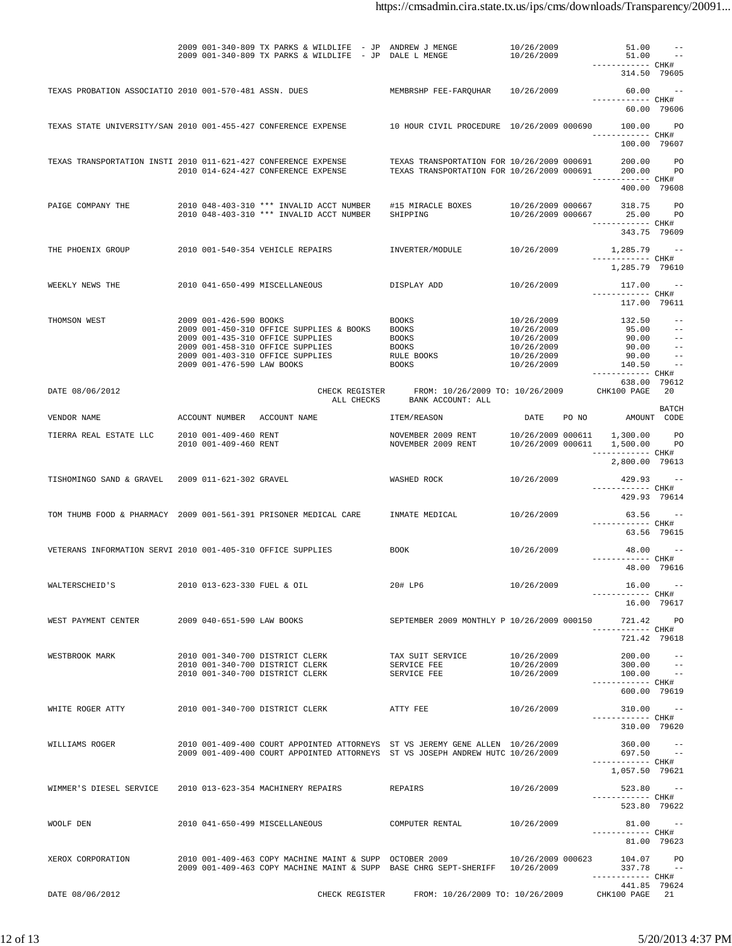| DATE 08/06/2012                                                  |                                                | CHECK REGISTER                                                                                                                                                  | FROM: 10/26/2009 TO: 10/26/2009                                                          |                                        | 441.85 79624<br>CHK100 PAGE 21                        |                                 |
|------------------------------------------------------------------|------------------------------------------------|-----------------------------------------------------------------------------------------------------------------------------------------------------------------|------------------------------------------------------------------------------------------|----------------------------------------|-------------------------------------------------------|---------------------------------|
| XEROX CORPORATION                                                |                                                | 2010 001-409-463 COPY MACHINE MAINT & SUPP OCTOBER 2009<br>2009 001-409-463 COPY MACHINE MAINT & SUPP BASE CHRG SEPT-SHERIFF 10/26/2009                         |                                                                                          | 10/26/2009 000623                      | 104.07 PO<br>$337.78 - -$<br>----------- CHK#         |                                 |
|                                                                  |                                                |                                                                                                                                                                 |                                                                                          |                                        | ----------- CHK#<br>81.00 79623                       |                                 |
| WOOLF DEN                                                        |                                                | 2010 041-650-499 MISCELLANEOUS                                                                                                                                  | COMPUTER RENTAL                                                                          | 10/26/2009                             | ------------ CHK#<br>523.80 79622<br>$81.00 - -$      |                                 |
| WIMMER'S DIESEL SERVICE                                          |                                                | 2010 013-623-354 MACHINERY REPAIRS                                                                                                                              | REPAIRS                                                                                  | 10/26/2009                             | 1,057.50 79621<br>$523.80 - -$                        |                                 |
| WILLIAMS ROGER                                                   |                                                | 2010 001-409-400 COURT APPOINTED ATTORNEYS ST VS JEREMY GENE ALLEN 10/26/2009<br>2009 001-409-400 COURT APPOINTED ATTORNEYS ST VS JOSEPH ANDREW HUTC 10/26/2009 |                                                                                          |                                        | $360.00 - -$<br>697.50 --<br>------------ CHK#        |                                 |
|                                                                  |                                                |                                                                                                                                                                 |                                                                                          |                                        | ----------- CHK#<br>310.00 79620                      |                                 |
| WHITE ROGER ATTY                                                 |                                                | 2010 001-340-700 DISTRICT CLERK                                                                                                                                 | ATTY FEE                                                                                 | 10/26/2009                             | 600.00 79619<br>$310.00 - -$                          |                                 |
| WESTBROOK MARK                                                   |                                                | 2010 001-340-700 DISTRICT CLERK<br>2010 001-340-700 DISTRICT CLERK<br>2010 001-340-700 DISTRICT CLERK                                                           | TAX SUIT SERVICE<br>SERVICE FEE<br>SERVICE FEE                                           | 10/26/2009<br>10/26/2009<br>10/26/2009 | 200.00<br>300.00<br>$100.00 - -$<br>------------ CHK# | $\qquad \qquad -$<br>$\sim$ $-$ |
|                                                                  |                                                |                                                                                                                                                                 |                                                                                          |                                        | ----------- CHK#<br>721.42 79618                      |                                 |
| WEST PAYMENT CENTER                                              | 2009 040-651-590 LAW BOOKS                     |                                                                                                                                                                 | SEPTEMBER 2009 MONTHLY P 10/26/2009 000150                                               |                                        | 16.00 79617<br>721.42 PO                              |                                 |
| WALTERSCHEID'S                                                   | 2010 013-623-330 FUEL & OIL                    |                                                                                                                                                                 | 20# LP6                                                                                  | 10/26/2009                             | 16.00<br>------------ CHK#                            |                                 |
| VETERANS INFORMATION SERVI 2010 001-405-310 OFFICE SUPPLIES      |                                                |                                                                                                                                                                 | BOOK                                                                                     | 10/26/2009                             | 48.00<br>------------ CHK#                            | 48.00 79616                     |
|                                                                  |                                                |                                                                                                                                                                 |                                                                                          |                                        | ----------- CHK#                                      | 63.56 79615                     |
| TOM THUMB FOOD & PHARMACY 2009 001-561-391 PRISONER MEDICAL CARE |                                                |                                                                                                                                                                 | INMATE MEDICAL                                                                           | 10/26/2009                             | 429.93 79614<br>$63.56 - -$                           |                                 |
| TISHOMINGO SAND & GRAVEL                                         | 2009 011-621-302 GRAVEL                        |                                                                                                                                                                 | WASHED ROCK                                                                              | 10/26/2009                             | $429.93 - -$<br>------------ CHK#                     |                                 |
|                                                                  |                                                |                                                                                                                                                                 |                                                                                          |                                        | ----------- CHK#<br>2,800.00 79613                    |                                 |
| TIERRA REAL ESTATE LLC                                           | 2010 001-409-460 RENT<br>2010 001-409-460 RENT |                                                                                                                                                                 | NOVEMBER 2009 RENT<br>NOVEMBER 2009 RENT                                                 | 10/26/2009 000611<br>10/26/2009 000611 | 1,300.00<br>1,500.00                                  | <b>PO</b><br>PO                 |
| VENDOR NAME                                                      |                                                | ACCOUNT NUMBER ACCOUNT NAME                                                                                                                                     | ITEM/REASON                                                                              | DATE                                   | PO NO                                                 | BATCH<br>AMOUNT CODE            |
| DATE 08/06/2012                                                  |                                                | CHECK REGISTER<br>ALL CHECKS                                                                                                                                    | FROM: 10/26/2009 TO: 10/26/2009<br>BANK ACCOUNT: ALL                                     |                                        | 638.00 79612<br>CHK100 PAGE                           | 20                              |
|                                                                  | 2009 001-476-590 LAW BOOKS                     | 2009 001-403-310 OFFICE SUPPLIES                                                                                                                                | RULE BOOKS<br><b>BOOKS</b>                                                               | 10/26/2009<br>10/26/2009               | 90.00<br>140.50<br>------------ CHK#                  | $- -$<br>$\sim$ $-$             |
|                                                                  |                                                | 2009 001-450-310 OFFICE SUPPLIES & BOOKS<br>2009 001-435-310 OFFICE SUPPLIES<br>2009 001-458-310 OFFICE SUPPLIES                                                | <b>BOOKS</b><br>BOOKS<br>BOOKS                                                           | 10/26/2009<br>10/26/2009<br>10/26/2009 | 95.00<br>90.00<br>90.00                               | $\sim$ $-$<br>$- -$<br>$- -$    |
| THOMSON WEST                                                     | 2009 001-426-590 BOOKS                         |                                                                                                                                                                 | BOOKS                                                                                    | 10/26/2009                             | 117.00 79611<br>132.50                                | $ -$                            |
| WEEKLY NEWS THE                                                  |                                                | 2010 041-650-499 MISCELLANEOUS                                                                                                                                  | DISPLAY ADD                                                                              | 10/26/2009                             | 117.00<br>------------ CHK#                           | $\sim$ $-$                      |
|                                                                  |                                                |                                                                                                                                                                 |                                                                                          |                                        | ------------ CHK#<br>1,285.79 79610                   |                                 |
| THE PHOENIX GROUP                                                |                                                | 2010 001-540-354 VEHICLE REPAIRS                                                                                                                                | INVERTER/MODULE                                                                          | 10/26/2009                             | 343.75 79609<br>$1,285.79$ --                         |                                 |
| PAIGE COMPANY THE                                                |                                                | 2010 048-403-310 *** INVALID ACCT NUMBER<br>2010 048-403-310 *** INVALID ACCT NUMBER                                                                            | #15 MIRACLE BOXES<br>SHIPPING                                                            | 10/26/2009 000667<br>10/26/2009 000667 | 318.75<br>25.00<br>----------- CHK#                   | <b>PO</b><br><b>PO</b>          |
|                                                                  |                                                |                                                                                                                                                                 |                                                                                          |                                        | 400.00 79608                                          |                                 |
| TEXAS TRANSPORTATION INSTI 2010 011-621-427 CONFERENCE EXPENSE   |                                                | 2010 014-624-427 CONFERENCE EXPENSE                                                                                                                             | TEXAS TRANSPORTATION FOR 10/26/2009 000691<br>TEXAS TRANSPORTATION FOR 10/26/2009 000691 |                                        | 200.00<br>200.00<br>------------ CHK#                 | <b>PO</b><br><b>PO</b>          |
|                                                                  |                                                |                                                                                                                                                                 |                                                                                          |                                        | ----------- CHK#<br>100.00 79607                      |                                 |
| TEXAS STATE UNIVERSITY/SAN 2010 001-455-427 CONFERENCE EXPENSE   |                                                |                                                                                                                                                                 | 10 HOUR CIVIL PROCEDURE 10/26/2009 000690                                                |                                        | 100.00                                                | <b>PO</b>                       |
| TEXAS PROBATION ASSOCIATIO 2010 001-570-481 ASSN. DUES           |                                                |                                                                                                                                                                 | MEMBRSHP FEE-FAROUHAR                                                                    | 10/26/2009                             | 60.00 --<br>------------ CHK#<br>60.00 79606          |                                 |
|                                                                  |                                                |                                                                                                                                                                 |                                                                                          |                                        | ------------ CHK#<br>314.50 79605                     |                                 |
|                                                                  |                                                | 2009 001-340-809 TX PARKS & WILDLIFE - JP ANDREW J MENGE<br>2009 001-340-809 TX PARKS & WILDLIFE - JP DALE L MENGE                                              |                                                                                          | 10/26/2009<br>10/26/2009               | 51.00<br>51.00                                        | $- -$<br>$\sim$ $-$             |